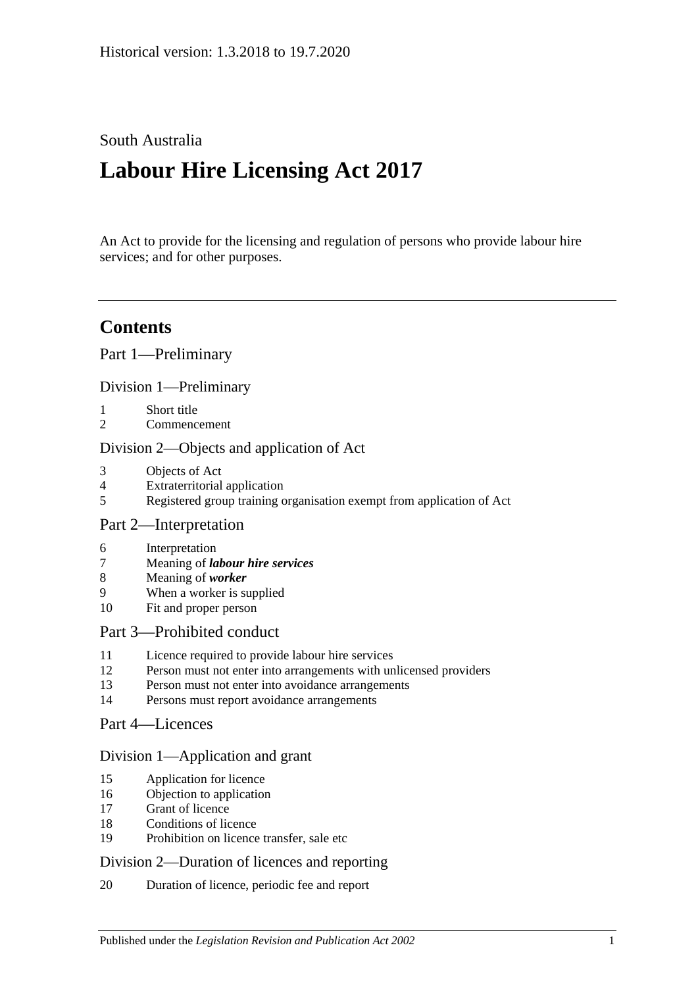# South Australia

# **Labour Hire Licensing Act 2017**

An Act to provide for the licensing and regulation of persons who provide labour hire services; and for other purposes.

# **Contents**

Part [1—Preliminary](#page-2-0)

Division [1—Preliminary](#page-2-1)

- 1 [Short title](#page-2-2)
- 2 [Commencement](#page-2-3)

#### Division [2—Objects and application of Act](#page-2-4)

- 3 [Objects of Act](#page-2-5)
- 4 [Extraterritorial application](#page-2-6)
- 5 [Registered group training organisation exempt from application of Act](#page-2-7)

#### Part [2—Interpretation](#page-3-0)

- 6 [Interpretation](#page-3-1)
- 7 Meaning of *[labour hire services](#page-4-0)*
- 8 [Meaning of](#page-5-0) *worker*
- 9 [When a worker is supplied](#page-5-1)
- 10 [Fit and proper person](#page-6-0)

#### Part [3—Prohibited conduct](#page-8-0)

- 11 [Licence required to provide labour hire services](#page-8-1)
- 12 [Person must not enter into arrangements with unlicensed providers](#page-8-2)
- 13 [Person must not enter into avoidance arrangements](#page-9-0)
- 14 [Persons must report avoidance arrangements](#page-9-1)
- Part [4—Licences](#page-9-2)

#### Division [1—Application and grant](#page-9-3)

- 15 [Application for licence](#page-9-4)
- 16 [Objection to application](#page-10-0)
- 17 [Grant of licence](#page-11-0)
- 18 [Conditions of licence](#page-12-0)
- 19 [Prohibition on licence transfer, sale etc](#page-12-1)

#### Division [2—Duration of licences and reporting](#page-12-2)

20 [Duration of licence, periodic fee and report](#page-12-3)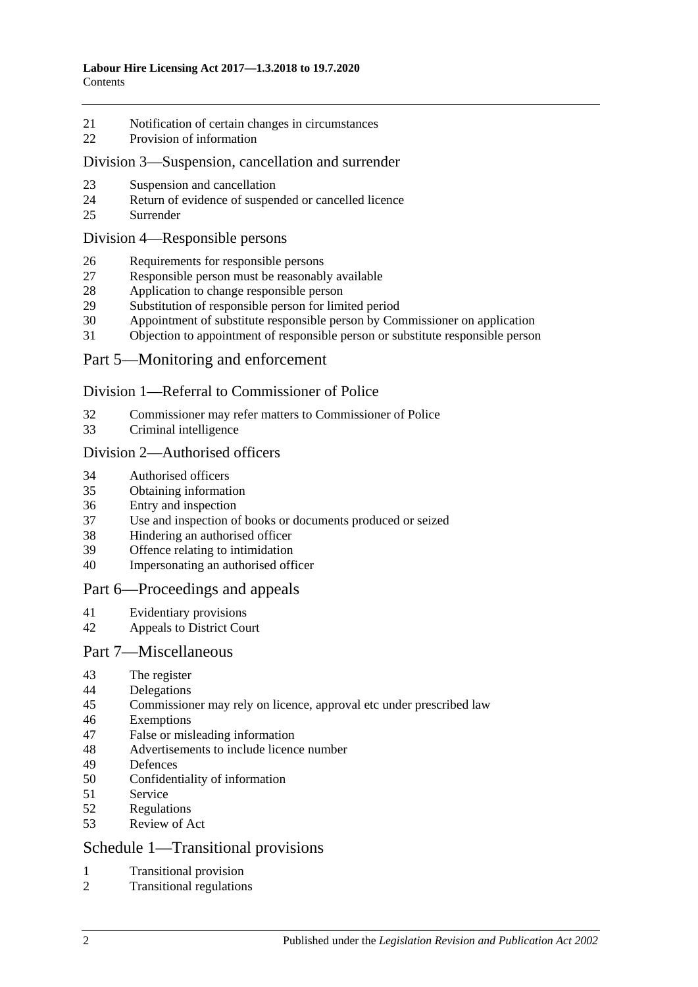- [Notification of certain changes in circumstances](#page-14-0)
- [Provision of information](#page-14-1)

#### Division [3—Suspension, cancellation and surrender](#page-15-0)

- [Suspension and cancellation](#page-15-1)
- [Return of evidence of suspended or cancelled licence](#page-16-0)
- [Surrender](#page-16-1)

#### Division [4—Responsible persons](#page-16-2)

- [Requirements for responsible persons](#page-16-3)
- [Responsible person must be reasonably available](#page-16-4)
- [Application to change responsible person](#page-16-5)
- [Substitution of responsible person for limited period](#page-17-0)
- [Appointment of substitute responsible person by Commissioner on application](#page-18-0)
- [Objection to appointment of responsible person or substitute responsible person](#page-18-1)

## Part [5—Monitoring and enforcement](#page-19-0)

#### Division [1—Referral to Commissioner of Police](#page-19-1)

- [Commissioner may refer matters to Commissioner of Police](#page-19-2)
- [Criminal intelligence](#page-19-3)

#### Division [2—Authorised officers](#page-20-0)

- [Authorised officers](#page-20-1)
- [Obtaining information](#page-21-0)
- [Entry and inspection](#page-21-1)
- Use and inspection of [books or documents produced or seized](#page-22-0)
- [Hindering an authorised officer](#page-23-0)
- [Offence relating to intimidation](#page-23-1)
- [Impersonating an authorised officer](#page-23-2)

#### Part [6—Proceedings and appeals](#page-23-3)

- [Evidentiary provisions](#page-23-4)
- [Appeals to District Court](#page-24-0)

#### Part [7—Miscellaneous](#page-25-0)

- [The register](#page-25-1)
- [Delegations](#page-25-2)
- [Commissioner may rely on licence, approval etc under prescribed law](#page-26-0)
- [Exemptions](#page-26-1)
- [False or misleading information](#page-27-0)
- [Advertisements to include licence number](#page-27-1)
- [Defences](#page-27-2)
- [Confidentiality of information](#page-28-0)
- [Service](#page-28-1)
- [Regulations](#page-29-0)
- [Review of Act](#page-29-1)

## Schedule [1—Transitional provisions](#page-29-2)

- [Transitional provision](#page-29-3)
- [Transitional regulations](#page-30-0)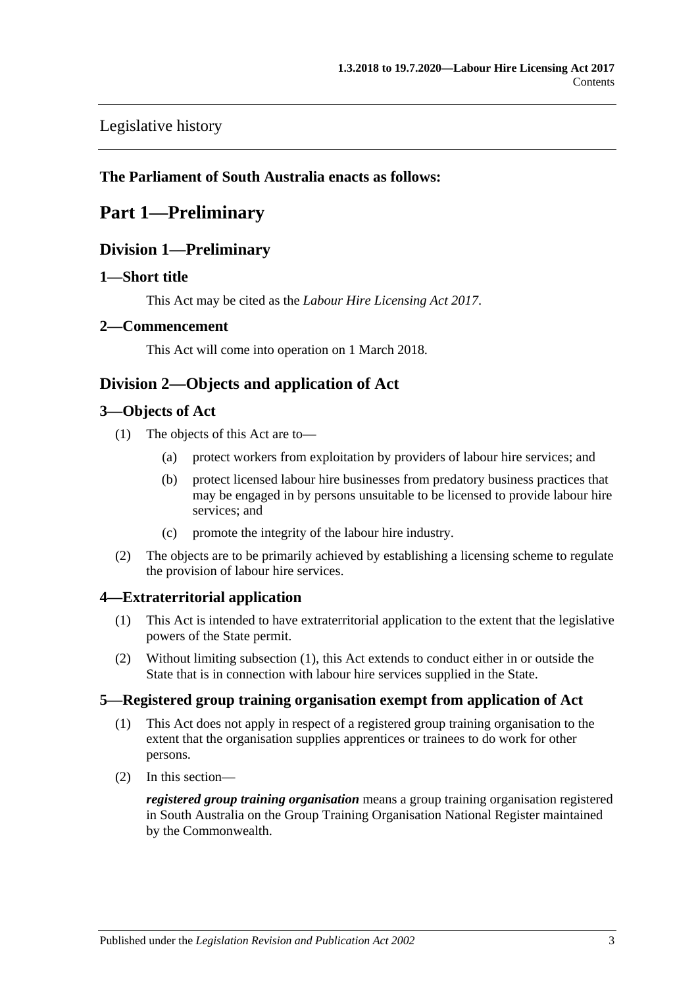# [Legislative history](#page-31-0)

## <span id="page-2-0"></span>**The Parliament of South Australia enacts as follows:**

# <span id="page-2-1"></span>**Part 1—Preliminary**

# **Division 1—Preliminary**

## <span id="page-2-2"></span>**1—Short title**

This Act may be cited as the *Labour Hire Licensing Act 2017*.

## <span id="page-2-3"></span>**2—Commencement**

This Act will come into operation on 1 March 2018.

# <span id="page-2-4"></span>**Division 2—Objects and application of Act**

## <span id="page-2-5"></span>**3—Objects of Act**

- (1) The objects of this Act are to—
	- (a) protect workers from exploitation by providers of labour hire services; and
	- (b) protect licensed labour hire businesses from predatory business practices that may be engaged in by persons unsuitable to be licensed to provide labour hire services; and
	- (c) promote the integrity of the labour hire industry.
- (2) The objects are to be primarily achieved by establishing a licensing scheme to regulate the provision of labour hire services.

# <span id="page-2-8"></span><span id="page-2-6"></span>**4—Extraterritorial application**

- (1) This Act is intended to have extraterritorial application to the extent that the legislative powers of the State permit.
- (2) Without limiting [subsection](#page-2-8) (1), this Act extends to conduct either in or outside the State that is in connection with labour hire services supplied in the State.

## <span id="page-2-7"></span>**5—Registered group training organisation exempt from application of Act**

- (1) This Act does not apply in respect of a registered group training organisation to the extent that the organisation supplies apprentices or trainees to do work for other persons.
- (2) In this section—

*registered group training organisation* means a group training organisation registered in South Australia on the Group Training Organisation National Register maintained by the Commonwealth.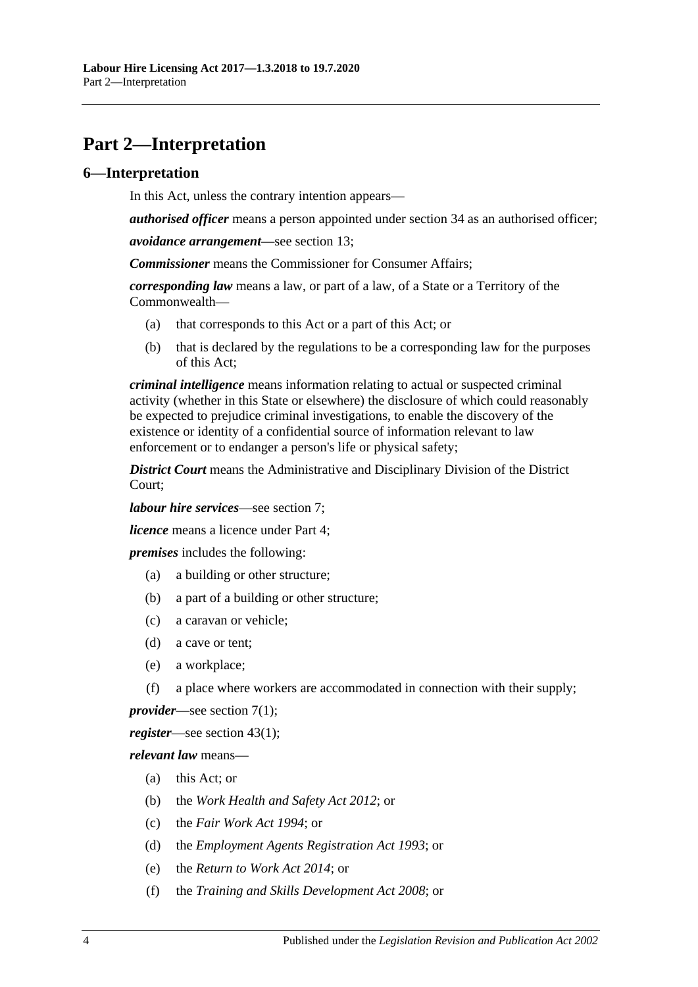# <span id="page-3-0"></span>**Part 2—Interpretation**

#### <span id="page-3-1"></span>**6—Interpretation**

In this Act, unless the contrary intention appears—

*authorised officer* means a person appointed under [section](#page-20-1) 34 as an authorised officer;

*avoidance arrangement*—see [section](#page-9-0) 13;

*Commissioner* means the Commissioner for Consumer Affairs;

*corresponding law* means a law, or part of a law, of a State or a Territory of the Commonwealth—

- (a) that corresponds to this Act or a part of this Act; or
- (b) that is declared by the regulations to be a corresponding law for the purposes of this Act;

*criminal intelligence* means information relating to actual or suspected criminal activity (whether in this State or elsewhere) the disclosure of which could reasonably be expected to prejudice criminal investigations, to enable the discovery of the existence or identity of a confidential source of information relevant to law enforcement or to endanger a person's life or physical safety;

*District Court* means the Administrative and Disciplinary Division of the District Court;

*labour hire services*—see [section](#page-4-0) 7;

*licence* means a licence under [Part](#page-9-2) 4;

*premises* includes the following:

- (a) a building or other structure;
- (b) a part of a building or other structure;
- (c) a caravan or vehicle;
- (d) a cave or tent;
- (e) a workplace;
- (f) a place where workers are accommodated in connection with their supply;

*provider*—see [section](#page-4-1) 7(1);

*register*—see [section](#page-25-3) 43(1);

*relevant law* means—

- (a) this Act; or
- (b) the *[Work Health and Safety Act](http://www.legislation.sa.gov.au/index.aspx?action=legref&type=act&legtitle=Work%20Health%20and%20Safety%20Act%202012) 2012*; or
- (c) the *[Fair Work Act](http://www.legislation.sa.gov.au/index.aspx?action=legref&type=act&legtitle=Fair%20Work%20Act%201994) 1994*; or
- (d) the *[Employment Agents Registration Act](http://www.legislation.sa.gov.au/index.aspx?action=legref&type=act&legtitle=Employment%20Agents%20Registration%20Act%201993) 1993*; or
- (e) the *[Return to Work Act](http://www.legislation.sa.gov.au/index.aspx?action=legref&type=act&legtitle=Return%20to%20Work%20Act%202014) 2014*; or
- (f) the *[Training and Skills Development Act](http://www.legislation.sa.gov.au/index.aspx?action=legref&type=act&legtitle=Training%20and%20Skills%20Development%20Act%202008) 2008*; or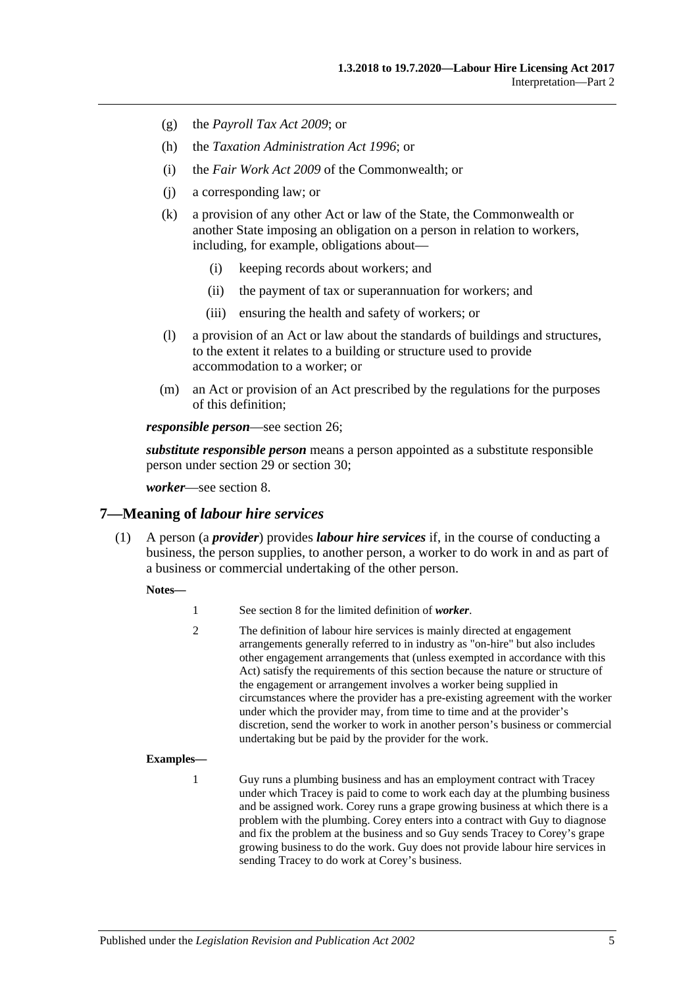- (g) the *[Payroll Tax Act](http://www.legislation.sa.gov.au/index.aspx?action=legref&type=act&legtitle=Payroll%20Tax%20Act%202009) 2009*; or
- (h) the *[Taxation Administration Act](http://www.legislation.sa.gov.au/index.aspx?action=legref&type=act&legtitle=Taxation%20Administration%20Act%201996) 1996*; or
- (i) the *Fair Work Act 2009* of the Commonwealth; or
- (j) a corresponding law; or
- (k) a provision of any other Act or law of the State, the Commonwealth or another State imposing an obligation on a person in relation to workers, including, for example, obligations about—
	- (i) keeping records about workers; and
	- (ii) the payment of tax or superannuation for workers; and
	- (iii) ensuring the health and safety of workers; or
- (l) a provision of an Act or law about the standards of buildings and structures, to the extent it relates to a building or structure used to provide accommodation to a worker; or
- (m) an Act or provision of an Act prescribed by the regulations for the purposes of this definition;

*responsible person*—see [section](#page-16-3) 26;

*substitute responsible person* means a person appointed as a substitute responsible person under [section](#page-17-0) 29 or [section](#page-18-0) 30;

*worker*—see [section](#page-5-0) 8.

#### <span id="page-4-1"></span><span id="page-4-0"></span>**7—Meaning of** *labour hire services*

(1) A person (a *provider*) provides *labour hire services* if, in the course of conducting a business, the person supplies, to another person, a worker to do work in and as part of a business or commercial undertaking of the other person.

#### **Notes—**

|  | See section 8 for the limited definition of <i>worker</i> . |
|--|-------------------------------------------------------------|
|--|-------------------------------------------------------------|

2 The definition of labour hire services is mainly directed at engagement arrangements generally referred to in industry as "on-hire" but also includes other engagement arrangements that (unless exempted in accordance with this Act) satisfy the requirements of this section because the nature or structure of the engagement or arrangement involves a worker being supplied in circumstances where the provider has a pre-existing agreement with the worker under which the provider may, from time to time and at the provider's discretion, send the worker to work in another person's business or commercial undertaking but be paid by the provider for the work.

#### **Examples—**

1 Guy runs a plumbing business and has an employment contract with Tracey under which Tracey is paid to come to work each day at the plumbing business and be assigned work. Corey runs a grape growing business at which there is a problem with the plumbing. Corey enters into a contract with Guy to diagnose and fix the problem at the business and so Guy sends Tracey to Corey's grape growing business to do the work. Guy does not provide labour hire services in sending Tracey to do work at Corey's business.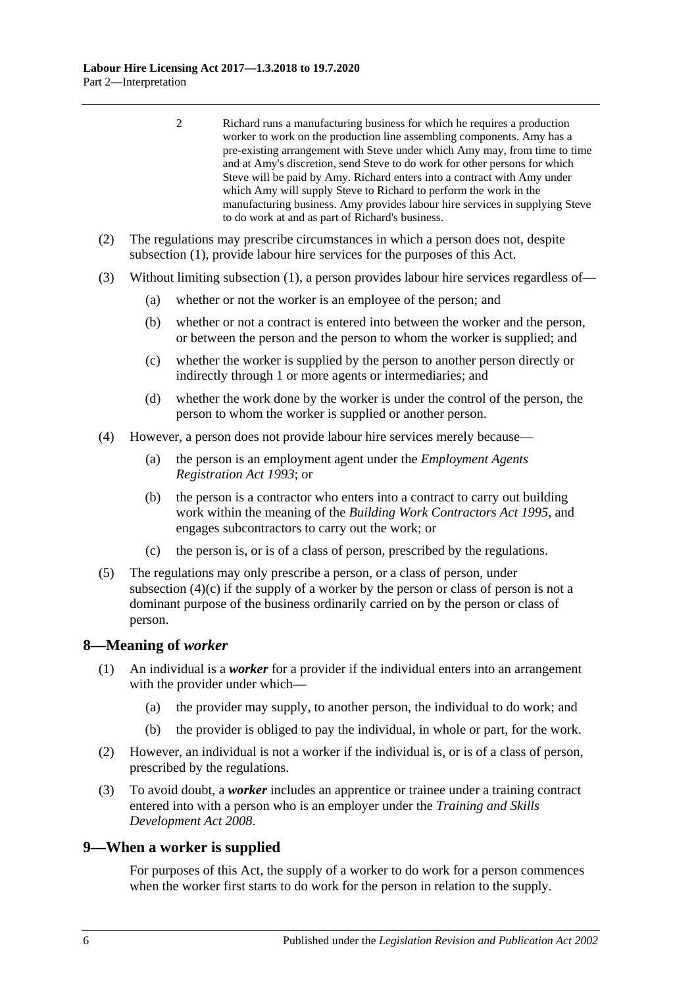- 2 Richard runs a manufacturing business for which he requires a production worker to work on the production line assembling components. Amy has a pre-existing arrangement with Steve under which Amy may, from time to time and at Amy's discretion, send Steve to do work for other persons for which Steve will be paid by Amy. Richard enters into a contract with Amy under which Amy will supply Steve to Richard to perform the work in the manufacturing business. Amy provides labour hire services in supplying Steve to do work at and as part of Richard's business.
- (2) The regulations may prescribe circumstances in which a person does not, despite [subsection](#page-4-1) (1), provide labour hire services for the purposes of this Act.
- (3) Without limiting [subsection](#page-4-1) (1), a person provides labour hire services regardless of—
	- (a) whether or not the worker is an employee of the person; and
	- (b) whether or not a contract is entered into between the worker and the person, or between the person and the person to whom the worker is supplied; and
	- (c) whether the worker is supplied by the person to another person directly or indirectly through 1 or more agents or intermediaries; and
	- (d) whether the work done by the worker is under the control of the person, the person to whom the worker is supplied or another person.
- (4) However, a person does not provide labour hire services merely because—
	- (a) the person is an employment agent under the *[Employment Agents](http://www.legislation.sa.gov.au/index.aspx?action=legref&type=act&legtitle=Employment%20Agents%20Registration%20Act%201993)  [Registration Act](http://www.legislation.sa.gov.au/index.aspx?action=legref&type=act&legtitle=Employment%20Agents%20Registration%20Act%201993) 1993*; or
	- (b) the person is a contractor who enters into a contract to carry out building work within the meaning of the *[Building Work Contractors Act](http://www.legislation.sa.gov.au/index.aspx?action=legref&type=act&legtitle=Building%20Work%20Contractors%20Act%201995) 1995*, and engages subcontractors to carry out the work; or
	- (c) the person is, or is of a class of person, prescribed by the regulations.
- <span id="page-5-2"></span>(5) The regulations may only prescribe a person, or a class of person, under [subsection](#page-5-2)  $(4)(c)$  if the supply of a worker by the person or class of person is not a dominant purpose of the business ordinarily carried on by the person or class of person.

#### <span id="page-5-0"></span>**8—Meaning of** *worker*

- (1) An individual is a *worker* for a provider if the individual enters into an arrangement with the provider under which—
	- (a) the provider may supply, to another person, the individual to do work; and
	- (b) the provider is obliged to pay the individual, in whole or part, for the work.
- (2) However, an individual is not a worker if the individual is, or is of a class of person, prescribed by the regulations.
- (3) To avoid doubt, a *worker* includes an apprentice or trainee under a training contract entered into with a person who is an employer under the *[Training and Skills](http://www.legislation.sa.gov.au/index.aspx?action=legref&type=act&legtitle=Training%20and%20Skills%20Development%20Act%202008)  [Development Act](http://www.legislation.sa.gov.au/index.aspx?action=legref&type=act&legtitle=Training%20and%20Skills%20Development%20Act%202008) 2008*.

#### <span id="page-5-1"></span>**9—When a worker is supplied**

For purposes of this Act, the supply of a worker to do work for a person commences when the worker first starts to do work for the person in relation to the supply.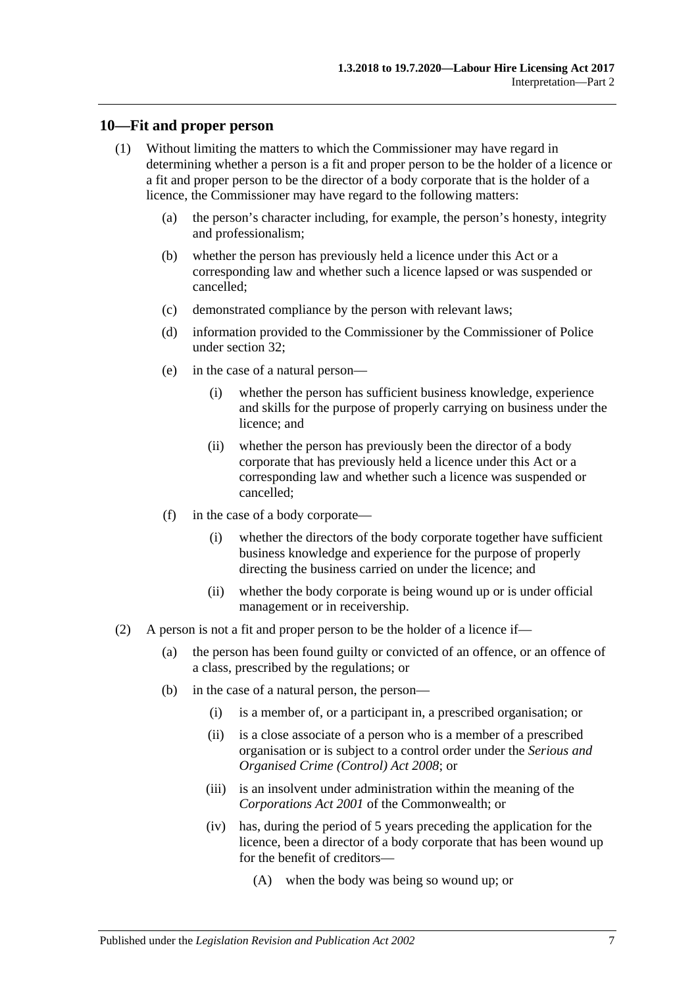#### <span id="page-6-0"></span>**10—Fit and proper person**

- (1) Without limiting the matters to which the Commissioner may have regard in determining whether a person is a fit and proper person to be the holder of a licence or a fit and proper person to be the director of a body corporate that is the holder of a licence, the Commissioner may have regard to the following matters:
	- (a) the person's character including, for example, the person's honesty, integrity and professionalism;
	- (b) whether the person has previously held a licence under this Act or a corresponding law and whether such a licence lapsed or was suspended or cancelled;
	- (c) demonstrated compliance by the person with relevant laws;
	- (d) information provided to the Commissioner by the Commissioner of Police under [section](#page-19-2) 32;
	- (e) in the case of a natural person—
		- (i) whether the person has sufficient business knowledge, experience and skills for the purpose of properly carrying on business under the licence; and
		- (ii) whether the person has previously been the director of a body corporate that has previously held a licence under this Act or a corresponding law and whether such a licence was suspended or cancelled;
	- (f) in the case of a body corporate—
		- (i) whether the directors of the body corporate together have sufficient business knowledge and experience for the purpose of properly directing the business carried on under the licence; and
		- (ii) whether the body corporate is being wound up or is under official management or in receivership.
- (2) A person is not a fit and proper person to be the holder of a licence if—
	- (a) the person has been found guilty or convicted of an offence, or an offence of a class, prescribed by the regulations; or
	- (b) in the case of a natural person, the person—
		- (i) is a member of, or a participant in, a prescribed organisation; or
		- (ii) is a close associate of a person who is a member of a prescribed organisation or is subject to a control order under the *[Serious and](http://www.legislation.sa.gov.au/index.aspx?action=legref&type=act&legtitle=Serious%20and%20Organised%20Crime%20(Control)%20Act%202008)  [Organised Crime \(Control\) Act](http://www.legislation.sa.gov.au/index.aspx?action=legref&type=act&legtitle=Serious%20and%20Organised%20Crime%20(Control)%20Act%202008) 2008*; or
		- (iii) is an insolvent under administration within the meaning of the *Corporations Act 2001* of the Commonwealth; or
		- (iv) has, during the period of 5 years preceding the application for the licence, been a director of a body corporate that has been wound up for the benefit of creditors—
			- (A) when the body was being so wound up; or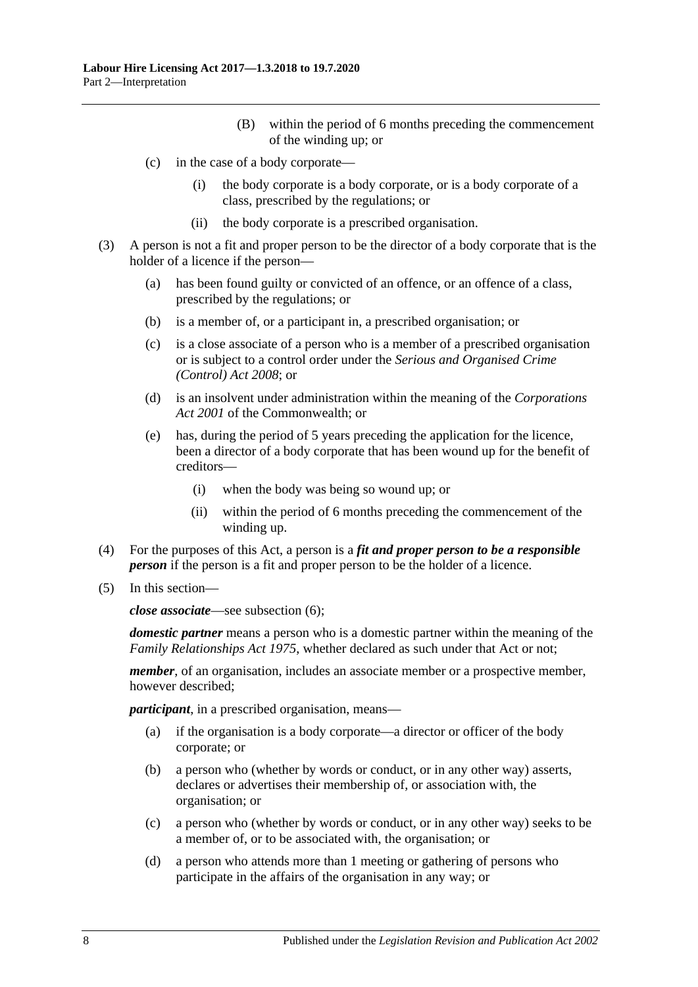- (B) within the period of 6 months preceding the commencement of the winding up; or
- (c) in the case of a body corporate—
	- (i) the body corporate is a body corporate, or is a body corporate of a class, prescribed by the regulations; or
	- (ii) the body corporate is a prescribed organisation.
- (3) A person is not a fit and proper person to be the director of a body corporate that is the holder of a licence if the person—
	- (a) has been found guilty or convicted of an offence, or an offence of a class, prescribed by the regulations; or
	- (b) is a member of, or a participant in, a prescribed organisation; or
	- (c) is a close associate of a person who is a member of a prescribed organisation or is subject to a control order under the *[Serious and Organised Crime](http://www.legislation.sa.gov.au/index.aspx?action=legref&type=act&legtitle=Serious%20and%20Organised%20Crime%20(Control)%20Act%202008)  [\(Control\) Act](http://www.legislation.sa.gov.au/index.aspx?action=legref&type=act&legtitle=Serious%20and%20Organised%20Crime%20(Control)%20Act%202008) 2008*; or
	- (d) is an insolvent under administration within the meaning of the *Corporations Act 2001* of the Commonwealth; or
	- (e) has, during the period of 5 years preceding the application for the licence, been a director of a body corporate that has been wound up for the benefit of creditors—
		- (i) when the body was being so wound up; or
		- (ii) within the period of 6 months preceding the commencement of the winding up.
- (4) For the purposes of this Act, a person is a *fit and proper person to be a responsible person* if the person is a fit and proper person to be the holder of a licence.
- (5) In this section—

*close associate*—see [subsection](#page-8-3) (6);

*domestic partner* means a person who is a domestic partner within the meaning of the *[Family Relationships Act](http://www.legislation.sa.gov.au/index.aspx?action=legref&type=act&legtitle=Family%20Relationships%20Act%201975) 1975*, whether declared as such under that Act or not;

*member*, of an organisation, includes an associate member or a prospective member, however described;

*participant*, in a prescribed organisation, means—

- (a) if the organisation is a body corporate—a director or officer of the body corporate; or
- (b) a person who (whether by words or conduct, or in any other way) asserts, declares or advertises their membership of, or association with, the organisation; or
- (c) a person who (whether by words or conduct, or in any other way) seeks to be a member of, or to be associated with, the organisation; or
- (d) a person who attends more than 1 meeting or gathering of persons who participate in the affairs of the organisation in any way; or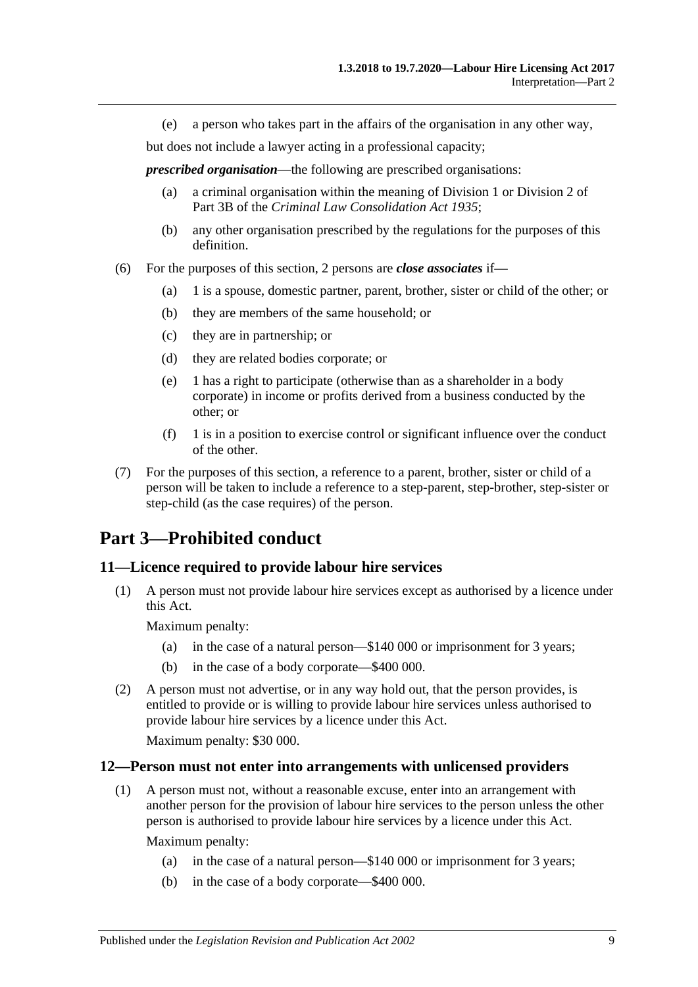(e) a person who takes part in the affairs of the organisation in any other way,

but does not include a lawyer acting in a professional capacity;

*prescribed organisation*—the following are prescribed organisations:

- (a) a criminal organisation within the meaning of Division 1 or Division 2 of Part 3B of the *[Criminal Law Consolidation Act](http://www.legislation.sa.gov.au/index.aspx?action=legref&type=act&legtitle=Criminal%20Law%20Consolidation%20Act%201935) 1935*;
- (b) any other organisation prescribed by the regulations for the purposes of this definition.
- <span id="page-8-3"></span>(6) For the purposes of this section, 2 persons are *close associates* if—
	- (a) 1 is a spouse, domestic partner, parent, brother, sister or child of the other; or
	- (b) they are members of the same household; or
	- (c) they are in partnership; or
	- (d) they are related bodies corporate; or
	- (e) 1 has a right to participate (otherwise than as a shareholder in a body corporate) in income or profits derived from a business conducted by the other; or
	- $(f)$  1 is in a position to exercise control or significant influence over the conduct of the other.
- (7) For the purposes of this section, a reference to a parent, brother, sister or child of a person will be taken to include a reference to a step-parent, step-brother, step-sister or step-child (as the case requires) of the person.

# <span id="page-8-0"></span>**Part 3—Prohibited conduct**

## <span id="page-8-1"></span>**11—Licence required to provide labour hire services**

(1) A person must not provide labour hire services except as authorised by a licence under this Act.

Maximum penalty:

- (a) in the case of a natural person—\$140 000 or imprisonment for 3 years;
- (b) in the case of a body corporate—\$400 000.
- (2) A person must not advertise, or in any way hold out, that the person provides, is entitled to provide or is willing to provide labour hire services unless authorised to provide labour hire services by a licence under this Act.

Maximum penalty: \$30 000.

#### <span id="page-8-2"></span>**12—Person must not enter into arrangements with unlicensed providers**

(1) A person must not, without a reasonable excuse, enter into an arrangement with another person for the provision of labour hire services to the person unless the other person is authorised to provide labour hire services by a licence under this Act.

Maximum penalty:

- (a) in the case of a natural person—\$140 000 or imprisonment for 3 years;
- (b) in the case of a body corporate—\$400 000.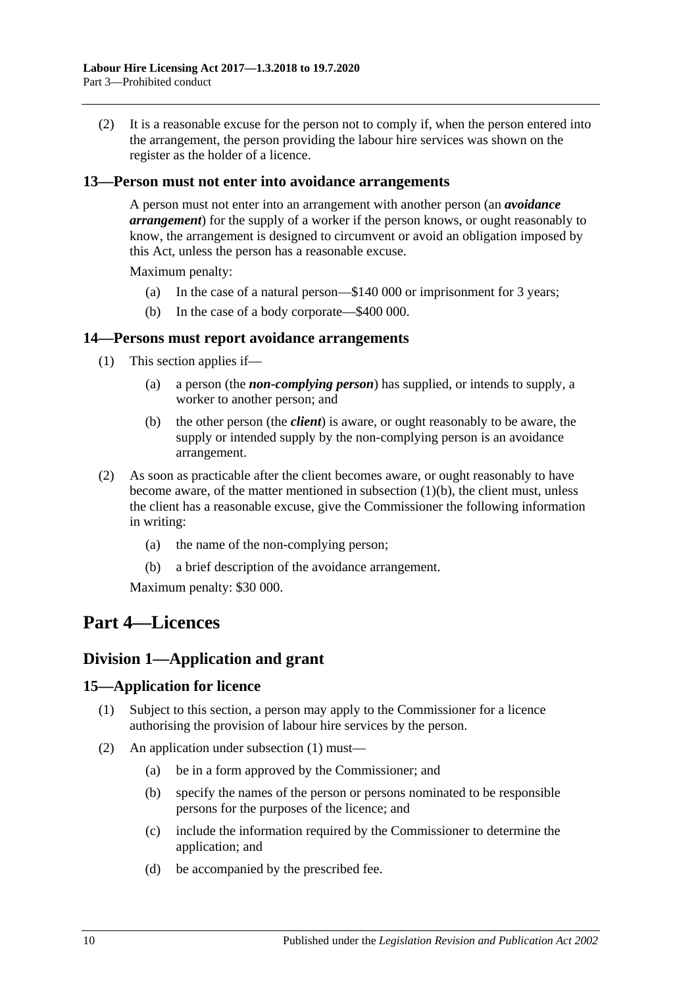(2) It is a reasonable excuse for the person not to comply if, when the person entered into the arrangement, the person providing the labour hire services was shown on the register as the holder of a licence.

#### <span id="page-9-0"></span>**13—Person must not enter into avoidance arrangements**

A person must not enter into an arrangement with another person (an *avoidance arrangement*) for the supply of a worker if the person knows, or ought reasonably to know, the arrangement is designed to circumvent or avoid an obligation imposed by this Act, unless the person has a reasonable excuse.

Maximum penalty:

- (a) In the case of a natural person—\$140 000 or imprisonment for 3 years;
- (b) In the case of a body corporate—\$400 000.

#### <span id="page-9-1"></span>**14—Persons must report avoidance arrangements**

- <span id="page-9-5"></span>(1) This section applies if—
	- (a) a person (the *non-complying person*) has supplied, or intends to supply, a worker to another person; and
	- (b) the other person (the *client*) is aware, or ought reasonably to be aware, the supply or intended supply by the non-complying person is an avoidance arrangement.
- (2) As soon as practicable after the client becomes aware, or ought reasonably to have become aware, of the matter mentioned in [subsection](#page-9-5)  $(1)(b)$ , the client must, unless the client has a reasonable excuse, give the Commissioner the following information in writing:
	- (a) the name of the non-complying person;
	- (b) a brief description of the avoidance arrangement.

Maximum penalty: \$30 000.

# <span id="page-9-2"></span>**Part 4—Licences**

# <span id="page-9-3"></span>**Division 1—Application and grant**

#### <span id="page-9-6"></span><span id="page-9-4"></span>**15—Application for licence**

- (1) Subject to this section, a person may apply to the Commissioner for a licence authorising the provision of labour hire services by the person.
- (2) An application under [subsection](#page-9-6) (1) must—
	- (a) be in a form approved by the Commissioner; and
	- (b) specify the names of the person or persons nominated to be responsible persons for the purposes of the licence; and
	- (c) include the information required by the Commissioner to determine the application; and
	- (d) be accompanied by the prescribed fee.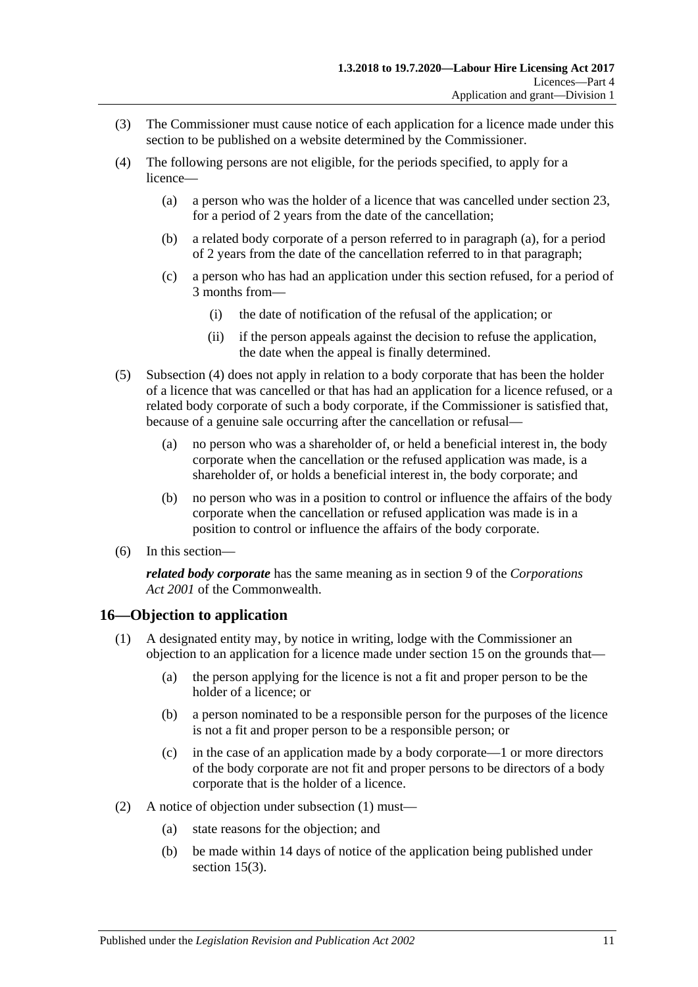- <span id="page-10-4"></span>(3) The Commissioner must cause notice of each application for a licence made under this section to be published on a website determined by the Commissioner.
- <span id="page-10-2"></span><span id="page-10-1"></span>(4) The following persons are not eligible, for the periods specified, to apply for a licence—
	- (a) a person who was the holder of a licence that was cancelled under [section](#page-15-1) 23, for a period of 2 years from the date of the cancellation;
	- (b) a related body corporate of a person referred to in [paragraph](#page-10-1) (a), for a period of 2 years from the date of the cancellation referred to in that paragraph;
	- (c) a person who has had an application under this section refused, for a period of 3 months from—
		- (i) the date of notification of the refusal of the application; or
		- (ii) if the person appeals against the decision to refuse the application, the date when the appeal is finally determined.
- (5) [Subsection](#page-10-2) (4) does not apply in relation to a body corporate that has been the holder of a licence that was cancelled or that has had an application for a licence refused, or a related body corporate of such a body corporate, if the Commissioner is satisfied that, because of a genuine sale occurring after the cancellation or refusal—
	- (a) no person who was a shareholder of, or held a beneficial interest in, the body corporate when the cancellation or the refused application was made, is a shareholder of, or holds a beneficial interest in, the body corporate; and
	- (b) no person who was in a position to control or influence the affairs of the body corporate when the cancellation or refused application was made is in a position to control or influence the affairs of the body corporate.
- (6) In this section—

*related body corporate* has the same meaning as in section 9 of the *Corporations Act 2001* of the Commonwealth.

# <span id="page-10-3"></span><span id="page-10-0"></span>**16—Objection to application**

- (1) A designated entity may, by notice in writing, lodge with the Commissioner an objection to an application for a licence made under [section](#page-9-4) 15 on the grounds that—
	- (a) the person applying for the licence is not a fit and proper person to be the holder of a licence; or
	- (b) a person nominated to be a responsible person for the purposes of the licence is not a fit and proper person to be a responsible person; or
	- (c) in the case of an application made by a body corporate—1 or more directors of the body corporate are not fit and proper persons to be directors of a body corporate that is the holder of a licence.
- (2) A notice of objection under [subsection](#page-10-3) (1) must—
	- (a) state reasons for the objection; and
	- (b) be made within 14 days of notice of the application being published under [section](#page-10-4) 15(3).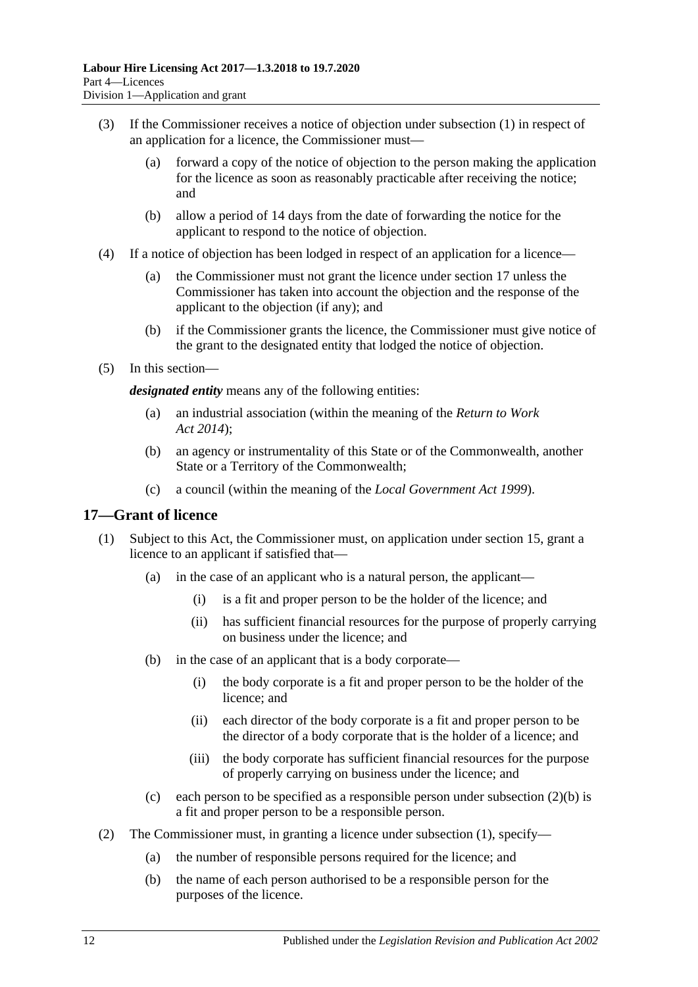- (3) If the Commissioner receives a notice of objection under [subsection](#page-10-3) (1) in respect of an application for a licence, the Commissioner must—
	- (a) forward a copy of the notice of objection to the person making the application for the licence as soon as reasonably practicable after receiving the notice; and
	- (b) allow a period of 14 days from the date of forwarding the notice for the applicant to respond to the notice of objection.
- (4) If a notice of objection has been lodged in respect of an application for a licence—
	- (a) the Commissioner must not grant the licence under [section](#page-11-0) 17 unless the Commissioner has taken into account the objection and the response of the applicant to the objection (if any); and
	- (b) if the Commissioner grants the licence, the Commissioner must give notice of the grant to the designated entity that lodged the notice of objection.
- <span id="page-11-3"></span>(5) In this section—

*designated entity* means any of the following entities:

- (a) an industrial association (within the meaning of the *[Return to Work](http://www.legislation.sa.gov.au/index.aspx?action=legref&type=act&legtitle=Return%20to%20Work%20Act%202014)  Act [2014](http://www.legislation.sa.gov.au/index.aspx?action=legref&type=act&legtitle=Return%20to%20Work%20Act%202014)*);
- (b) an agency or instrumentality of this State or of the Commonwealth, another State or a Territory of the Commonwealth;
- (c) a council (within the meaning of the *[Local Government Act](http://www.legislation.sa.gov.au/index.aspx?action=legref&type=act&legtitle=Local%20Government%20Act%201999) 1999*).

#### <span id="page-11-2"></span><span id="page-11-0"></span>**17—Grant of licence**

- (1) Subject to this Act, the Commissioner must, on application under [section](#page-9-4) 15, grant a licence to an applicant if satisfied that—
	- (a) in the case of an applicant who is a natural person, the applicant—
		- (i) is a fit and proper person to be the holder of the licence; and
		- (ii) has sufficient financial resources for the purpose of properly carrying on business under the licence; and
	- (b) in the case of an applicant that is a body corporate—
		- (i) the body corporate is a fit and proper person to be the holder of the licence; and
		- (ii) each director of the body corporate is a fit and proper person to be the director of a body corporate that is the holder of a licence; and
		- (iii) the body corporate has sufficient financial resources for the purpose of properly carrying on business under the licence; and
	- (c) each person to be specified as a responsible person under [subsection](#page-11-1)  $(2)(b)$  is a fit and proper person to be a responsible person.
- <span id="page-11-1"></span>(2) The Commissioner must, in granting a licence under [subsection](#page-11-2) (1), specify—
	- (a) the number of responsible persons required for the licence; and
	- (b) the name of each person authorised to be a responsible person for the purposes of the licence.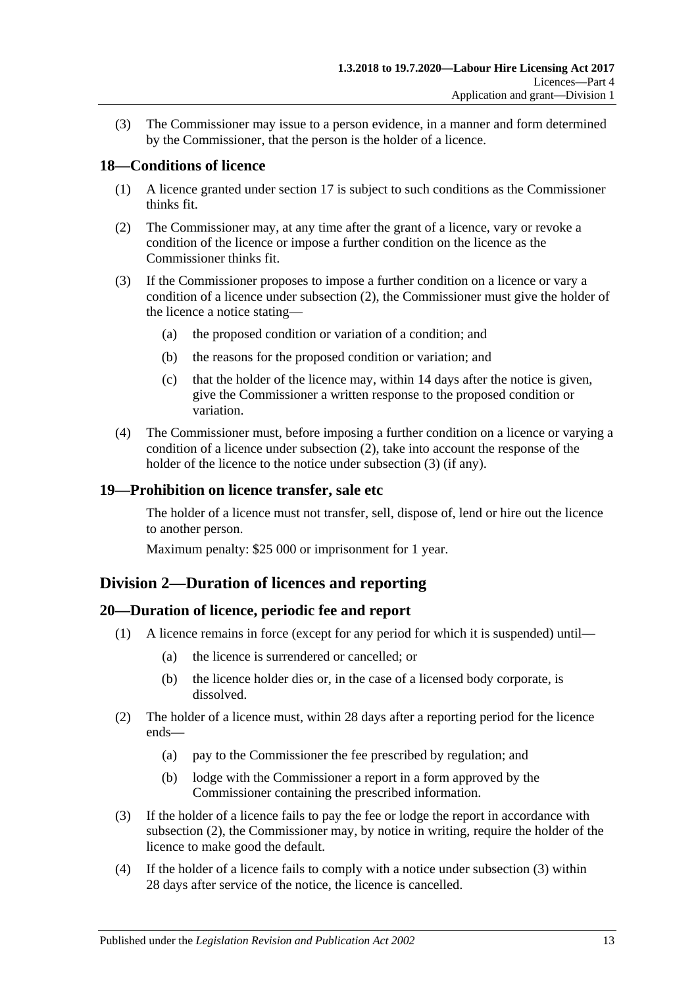(3) The Commissioner may issue to a person evidence, in a manner and form determined by the Commissioner, that the person is the holder of a licence.

## <span id="page-12-0"></span>**18—Conditions of licence**

- (1) A licence granted under [section](#page-11-0) 17 is subject to such conditions as the Commissioner thinks fit.
- <span id="page-12-4"></span>(2) The Commissioner may, at any time after the grant of a licence, vary or revoke a condition of the licence or impose a further condition on the licence as the Commissioner thinks fit.
- <span id="page-12-5"></span>(3) If the Commissioner proposes to impose a further condition on a licence or vary a condition of a licence under [subsection](#page-12-4) (2), the Commissioner must give the holder of the licence a notice stating—
	- (a) the proposed condition or variation of a condition; and
	- (b) the reasons for the proposed condition or variation; and
	- (c) that the holder of the licence may, within 14 days after the notice is given, give the Commissioner a written response to the proposed condition or variation.
- (4) The Commissioner must, before imposing a further condition on a licence or varying a condition of a licence under [subsection](#page-12-4) (2), take into account the response of the holder of the licence to the notice under [subsection](#page-12-5) (3) (if any).

#### <span id="page-12-1"></span>**19—Prohibition on licence transfer, sale etc**

The holder of a licence must not transfer, sell, dispose of, lend or hire out the licence to another person.

Maximum penalty: \$25 000 or imprisonment for 1 year.

# <span id="page-12-2"></span>**Division 2—Duration of licences and reporting**

## <span id="page-12-3"></span>**20—Duration of licence, periodic fee and report**

- (1) A licence remains in force (except for any period for which it is suspended) until—
	- (a) the licence is surrendered or cancelled; or
	- (b) the licence holder dies or, in the case of a licensed body corporate, is dissolved.
- <span id="page-12-6"></span>(2) The holder of a licence must, within 28 days after a reporting period for the licence ends—
	- (a) pay to the Commissioner the fee prescribed by regulation; and
	- (b) lodge with the Commissioner a report in a form approved by the Commissioner containing the prescribed information.
- <span id="page-12-7"></span>(3) If the holder of a licence fails to pay the fee or lodge the report in accordance with [subsection](#page-12-6) (2), the Commissioner may, by notice in writing, require the holder of the licence to make good the default.
- <span id="page-12-8"></span>(4) If the holder of a licence fails to comply with a notice under [subsection](#page-12-7) (3) within 28 days after service of the notice, the licence is cancelled.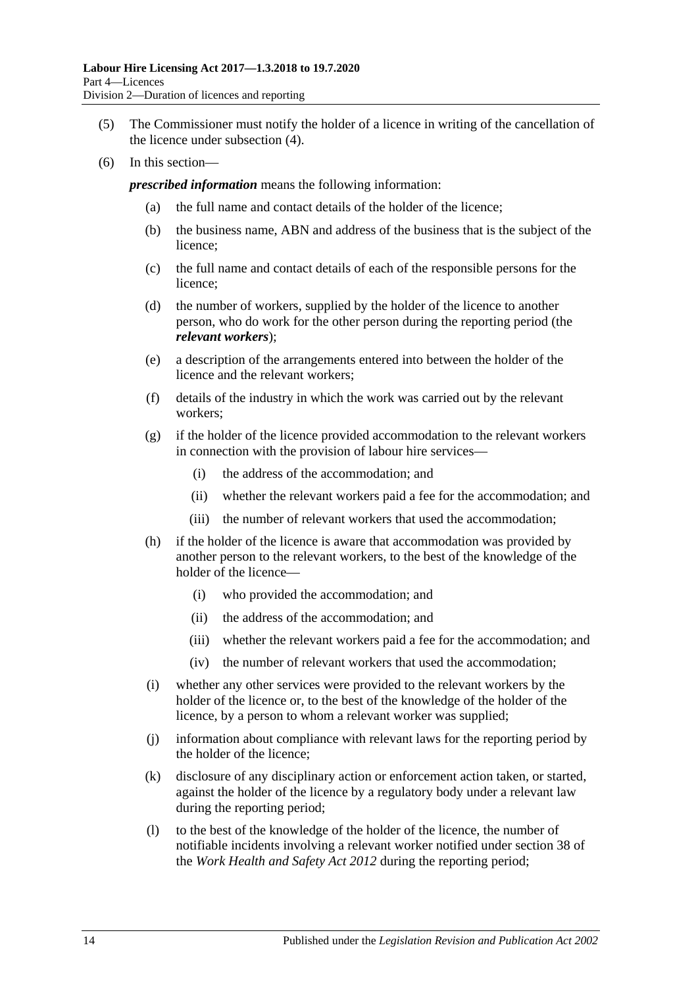- (5) The Commissioner must notify the holder of a licence in writing of the cancellation of the licence under [subsection](#page-12-8) (4).
- (6) In this section—

*prescribed information* means the following information:

- (a) the full name and contact details of the holder of the licence;
- (b) the business name, ABN and address of the business that is the subject of the licence;
- (c) the full name and contact details of each of the responsible persons for the licence;
- (d) the number of workers, supplied by the holder of the licence to another person, who do work for the other person during the reporting period (the *relevant workers*);
- (e) a description of the arrangements entered into between the holder of the licence and the relevant workers;
- (f) details of the industry in which the work was carried out by the relevant workers;
- (g) if the holder of the licence provided accommodation to the relevant workers in connection with the provision of labour hire services—
	- (i) the address of the accommodation; and
	- (ii) whether the relevant workers paid a fee for the accommodation; and
	- (iii) the number of relevant workers that used the accommodation;
- (h) if the holder of the licence is aware that accommodation was provided by another person to the relevant workers, to the best of the knowledge of the holder of the licence—
	- (i) who provided the accommodation; and
	- (ii) the address of the accommodation; and
	- (iii) whether the relevant workers paid a fee for the accommodation; and
	- (iv) the number of relevant workers that used the accommodation;
- (i) whether any other services were provided to the relevant workers by the holder of the licence or, to the best of the knowledge of the holder of the licence, by a person to whom a relevant worker was supplied;
- (j) information about compliance with relevant laws for the reporting period by the holder of the licence;
- (k) disclosure of any disciplinary action or enforcement action taken, or started, against the holder of the licence by a regulatory body under a relevant law during the reporting period;
- (l) to the best of the knowledge of the holder of the licence, the number of notifiable incidents involving a relevant worker notified under section 38 of the *[Work Health and Safety Act](http://www.legislation.sa.gov.au/index.aspx?action=legref&type=act&legtitle=Work%20Health%20and%20Safety%20Act%202012) 2012* during the reporting period;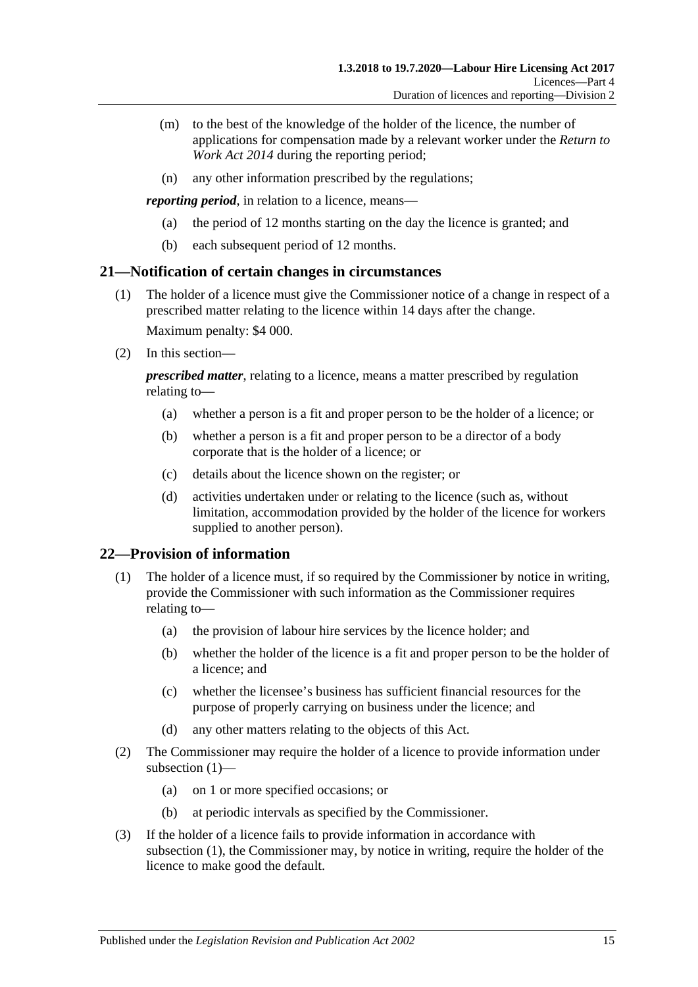- (m) to the best of the knowledge of the holder of the licence, the number of applications for compensation made by a relevant worker under the *[Return to](http://www.legislation.sa.gov.au/index.aspx?action=legref&type=act&legtitle=Return%20to%20Work%20Act%202014)  [Work Act](http://www.legislation.sa.gov.au/index.aspx?action=legref&type=act&legtitle=Return%20to%20Work%20Act%202014) 2014* during the reporting period;
- (n) any other information prescribed by the regulations;

*reporting period*, in relation to a licence, means—

- (a) the period of 12 months starting on the day the licence is granted; and
- (b) each subsequent period of 12 months.

## <span id="page-14-0"></span>**21—Notification of certain changes in circumstances**

- (1) The holder of a licence must give the Commissioner notice of a change in respect of a prescribed matter relating to the licence within 14 days after the change. Maximum penalty: \$4 000.
- (2) In this section—

*prescribed matter*, relating to a licence, means a matter prescribed by regulation relating to—

- (a) whether a person is a fit and proper person to be the holder of a licence; or
- (b) whether a person is a fit and proper person to be a director of a body corporate that is the holder of a licence; or
- (c) details about the licence shown on the register; or
- (d) activities undertaken under or relating to the licence (such as, without limitation, accommodation provided by the holder of the licence for workers supplied to another person).

## <span id="page-14-2"></span><span id="page-14-1"></span>**22—Provision of information**

- (1) The holder of a licence must, if so required by the Commissioner by notice in writing, provide the Commissioner with such information as the Commissioner requires relating to—
	- (a) the provision of labour hire services by the licence holder; and
	- (b) whether the holder of the licence is a fit and proper person to be the holder of a licence; and
	- (c) whether the licensee's business has sufficient financial resources for the purpose of properly carrying on business under the licence; and
	- (d) any other matters relating to the objects of this Act.
- (2) The Commissioner may require the holder of a licence to provide information under [subsection](#page-14-2) (1)—
	- (a) on 1 or more specified occasions; or
	- (b) at periodic intervals as specified by the Commissioner.
- <span id="page-14-3"></span>(3) If the holder of a licence fails to provide information in accordance with [subsection](#page-14-2) (1), the Commissioner may, by notice in writing, require the holder of the licence to make good the default.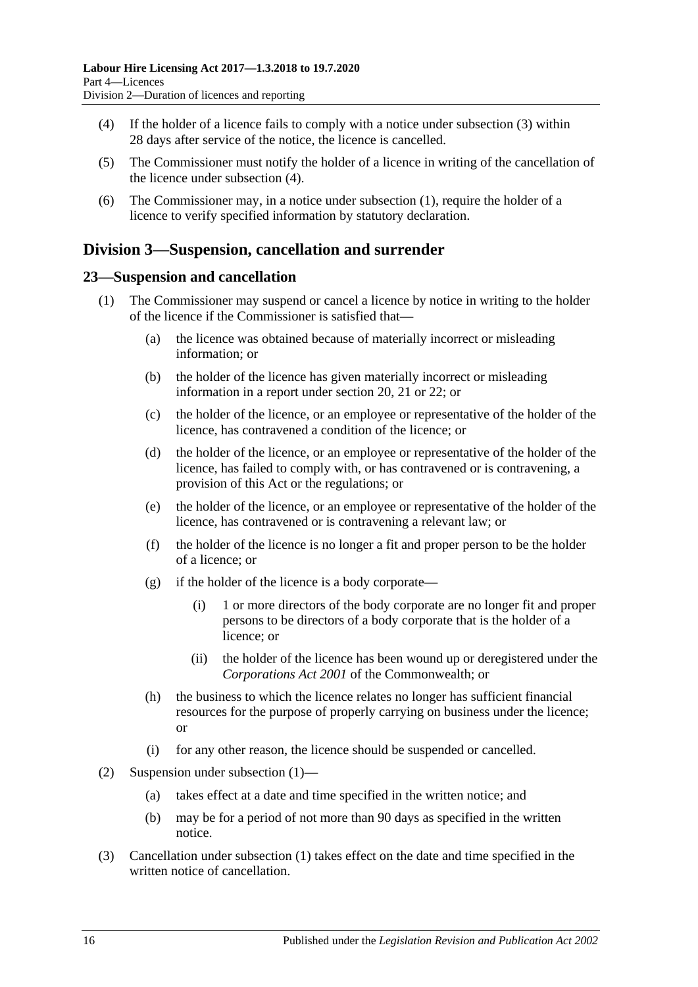- (4) If the holder of a licence fails to comply with a notice under [subsection](#page-14-3) (3) within 28 days after service of the notice, the licence is cancelled.
- (5) The Commissioner must notify the holder of a licence in writing of the cancellation of the licence under [subsection](#page-12-8) (4).
- (6) The Commissioner may, in a notice under [subsection](#page-14-2) (1), require the holder of a licence to verify specified information by statutory declaration.

# <span id="page-15-0"></span>**Division 3—Suspension, cancellation and surrender**

## <span id="page-15-2"></span><span id="page-15-1"></span>**23—Suspension and cancellation**

- (1) The Commissioner may suspend or cancel a licence by notice in writing to the holder of the licence if the Commissioner is satisfied that—
	- (a) the licence was obtained because of materially incorrect or misleading information; or
	- (b) the holder of the licence has given materially incorrect or misleading information in a report under [section](#page-12-3) 20, [21](#page-14-0) or [22;](#page-14-1) or
	- (c) the holder of the licence, or an employee or representative of the holder of the licence, has contravened a condition of the licence; or
	- (d) the holder of the licence, or an employee or representative of the holder of the licence, has failed to comply with, or has contravened or is contravening, a provision of this Act or the regulations; or
	- (e) the holder of the licence, or an employee or representative of the holder of the licence, has contravened or is contravening a relevant law; or
	- (f) the holder of the licence is no longer a fit and proper person to be the holder of a licence; or
	- (g) if the holder of the licence is a body corporate—
		- (i) 1 or more directors of the body corporate are no longer fit and proper persons to be directors of a body corporate that is the holder of a licence; or
		- (ii) the holder of the licence has been wound up or deregistered under the *Corporations Act 2001* of the Commonwealth; or
	- (h) the business to which the licence relates no longer has sufficient financial resources for the purpose of properly carrying on business under the licence; or
	- (i) for any other reason, the licence should be suspended or cancelled.
- (2) Suspension under [subsection](#page-15-2) (1)—
	- (a) takes effect at a date and time specified in the written notice; and
	- (b) may be for a period of not more than 90 days as specified in the written notice.
- (3) Cancellation under [subsection](#page-15-2) (1) takes effect on the date and time specified in the written notice of cancellation.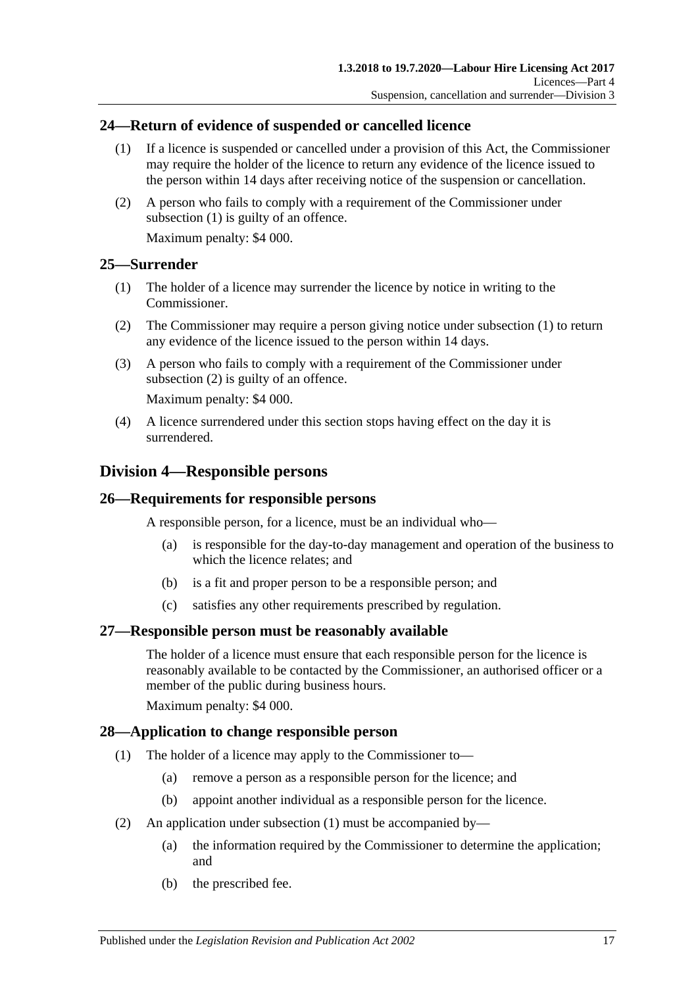## <span id="page-16-6"></span><span id="page-16-0"></span>**24—Return of evidence of suspended or cancelled licence**

- (1) If a licence is suspended or cancelled under a provision of this Act, the Commissioner may require the holder of the licence to return any evidence of the licence issued to the person within 14 days after receiving notice of the suspension or cancellation.
- (2) A person who fails to comply with a requirement of the Commissioner under [subsection](#page-16-6) (1) is guilty of an offence.

Maximum penalty: \$4 000.

## <span id="page-16-7"></span><span id="page-16-1"></span>**25—Surrender**

- (1) The holder of a licence may surrender the licence by notice in writing to the Commissioner.
- <span id="page-16-8"></span>(2) The Commissioner may require a person giving notice under [subsection](#page-16-7) (1) to return any evidence of the licence issued to the person within 14 days.
- (3) A person who fails to comply with a requirement of the Commissioner under [subsection](#page-16-8) (2) is guilty of an offence.

Maximum penalty: \$4 000.

(4) A licence surrendered under this section stops having effect on the day it is surrendered.

# <span id="page-16-2"></span>**Division 4—Responsible persons**

## <span id="page-16-3"></span>**26—Requirements for responsible persons**

A responsible person, for a licence, must be an individual who—

- (a) is responsible for the day-to-day management and operation of the business to which the licence relates; and
- (b) is a fit and proper person to be a responsible person; and
- (c) satisfies any other requirements prescribed by regulation.

## <span id="page-16-4"></span>**27—Responsible person must be reasonably available**

The holder of a licence must ensure that each responsible person for the licence is reasonably available to be contacted by the Commissioner, an authorised officer or a member of the public during business hours.

Maximum penalty: \$4 000.

## <span id="page-16-9"></span><span id="page-16-5"></span>**28—Application to change responsible person**

- (1) The holder of a licence may apply to the Commissioner to—
	- (a) remove a person as a responsible person for the licence; and
	- (b) appoint another individual as a responsible person for the licence.
- <span id="page-16-10"></span>(2) An application under [subsection](#page-16-9) (1) must be accompanied by—
	- (a) the information required by the Commissioner to determine the application; and
	- (b) the prescribed fee.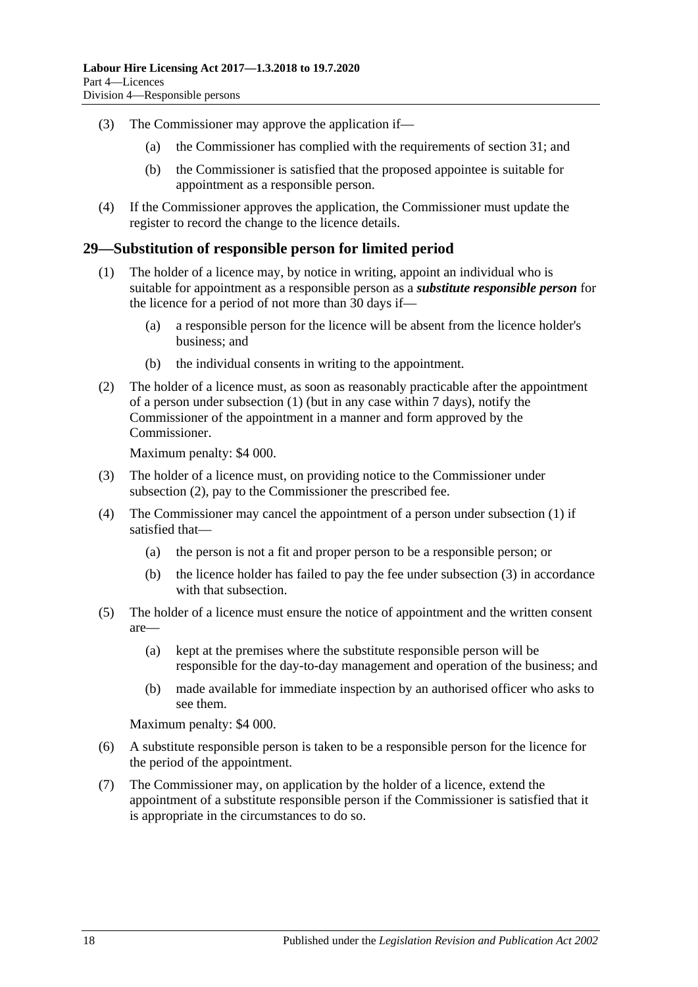- (3) The Commissioner may approve the application if—
	- (a) the Commissioner has complied with the requirements of [section](#page-18-1) 31; and
	- (b) the Commissioner is satisfied that the proposed appointee is suitable for appointment as a responsible person.
- (4) If the Commissioner approves the application, the Commissioner must update the register to record the change to the licence details.

#### <span id="page-17-1"></span><span id="page-17-0"></span>**29—Substitution of responsible person for limited period**

- (1) The holder of a licence may, by notice in writing, appoint an individual who is suitable for appointment as a responsible person as a *substitute responsible person* for the licence for a period of not more than 30 days if—
	- (a) a responsible person for the licence will be absent from the licence holder's business; and
	- (b) the individual consents in writing to the appointment.
- <span id="page-17-2"></span>(2) The holder of a licence must, as soon as reasonably practicable after the appointment of a person under [subsection](#page-17-1) (1) (but in any case within 7 days), notify the Commissioner of the appointment in a manner and form approved by the Commissioner.

Maximum penalty: \$4 000.

- <span id="page-17-3"></span>(3) The holder of a licence must, on providing notice to the Commissioner under [subsection](#page-17-2) (2), pay to the Commissioner the prescribed fee.
- <span id="page-17-4"></span>(4) The Commissioner may cancel the appointment of a person under [subsection](#page-17-1) (1) if satisfied that—
	- (a) the person is not a fit and proper person to be a responsible person; or
	- (b) the licence holder has failed to pay the fee under [subsection](#page-17-3) (3) in accordance with that subsection.
- (5) The holder of a licence must ensure the notice of appointment and the written consent are—
	- (a) kept at the premises where the substitute responsible person will be responsible for the day-to-day management and operation of the business; and
	- (b) made available for immediate inspection by an authorised officer who asks to see them.

Maximum penalty: \$4 000.

- (6) A substitute responsible person is taken to be a responsible person for the licence for the period of the appointment.
- <span id="page-17-5"></span>(7) The Commissioner may, on application by the holder of a licence, extend the appointment of a substitute responsible person if the Commissioner is satisfied that it is appropriate in the circumstances to do so.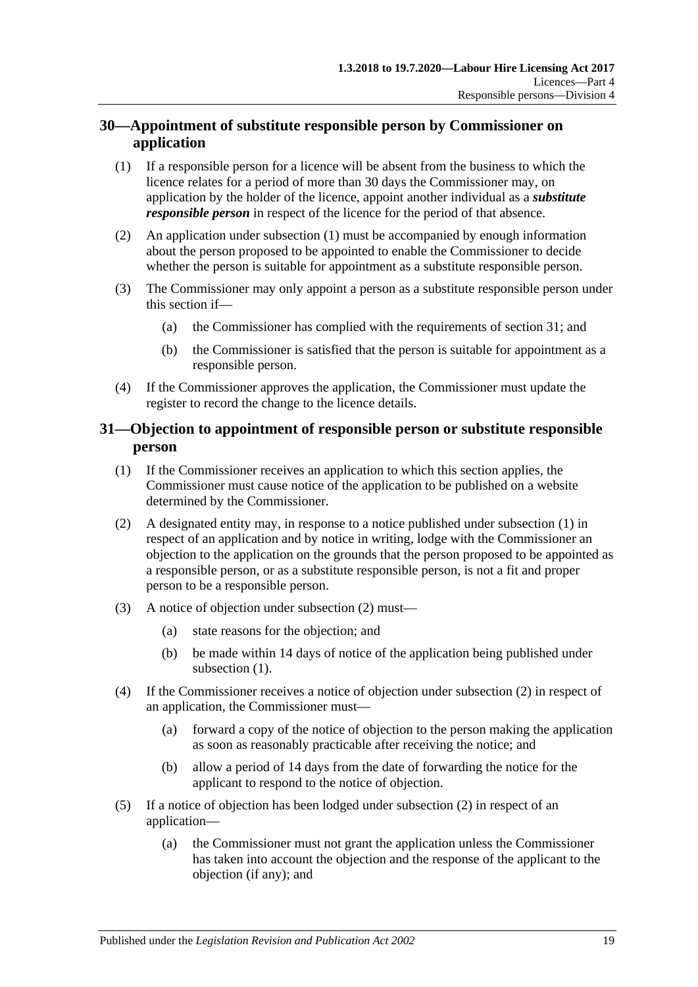# <span id="page-18-0"></span>**30—Appointment of substitute responsible person by Commissioner on application**

- <span id="page-18-2"></span>(1) If a responsible person for a licence will be absent from the business to which the licence relates for a period of more than 30 days the Commissioner may, on application by the holder of the licence, appoint another individual as a *substitute responsible person* in respect of the licence for the period of that absence.
- (2) An application under [subsection](#page-18-2) (1) must be accompanied by enough information about the person proposed to be appointed to enable the Commissioner to decide whether the person is suitable for appointment as a substitute responsible person.
- (3) The Commissioner may only appoint a person as a substitute responsible person under this section if—
	- (a) the Commissioner has complied with the requirements of [section](#page-18-1) 31; and
	- (b) the Commissioner is satisfied that the person is suitable for appointment as a responsible person.
- (4) If the Commissioner approves the application, the Commissioner must update the register to record the change to the licence details.

## <span id="page-18-1"></span>**31—Objection to appointment of responsible person or substitute responsible person**

- <span id="page-18-3"></span>(1) If the Commissioner receives an application to which this section applies, the Commissioner must cause notice of the application to be published on a website determined by the Commissioner.
- <span id="page-18-4"></span>(2) A designated entity may, in response to a notice published under [subsection](#page-18-3) (1) in respect of an application and by notice in writing, lodge with the Commissioner an objection to the application on the grounds that the person proposed to be appointed as a responsible person, or as a substitute responsible person, is not a fit and proper person to be a responsible person.
- (3) A notice of objection under [subsection](#page-18-4) (2) must—
	- (a) state reasons for the objection; and
	- (b) be made within 14 days of notice of the application being published under [subsection](#page-18-3)  $(1)$ .
- (4) If the Commissioner receives a notice of objection under [subsection](#page-18-4) (2) in respect of an application, the Commissioner must—
	- (a) forward a copy of the notice of objection to the person making the application as soon as reasonably practicable after receiving the notice; and
	- (b) allow a period of 14 days from the date of forwarding the notice for the applicant to respond to the notice of objection.
- (5) If a notice of objection has been lodged under [subsection](#page-18-4) (2) in respect of an application—
	- (a) the Commissioner must not grant the application unless the Commissioner has taken into account the objection and the response of the applicant to the objection (if any); and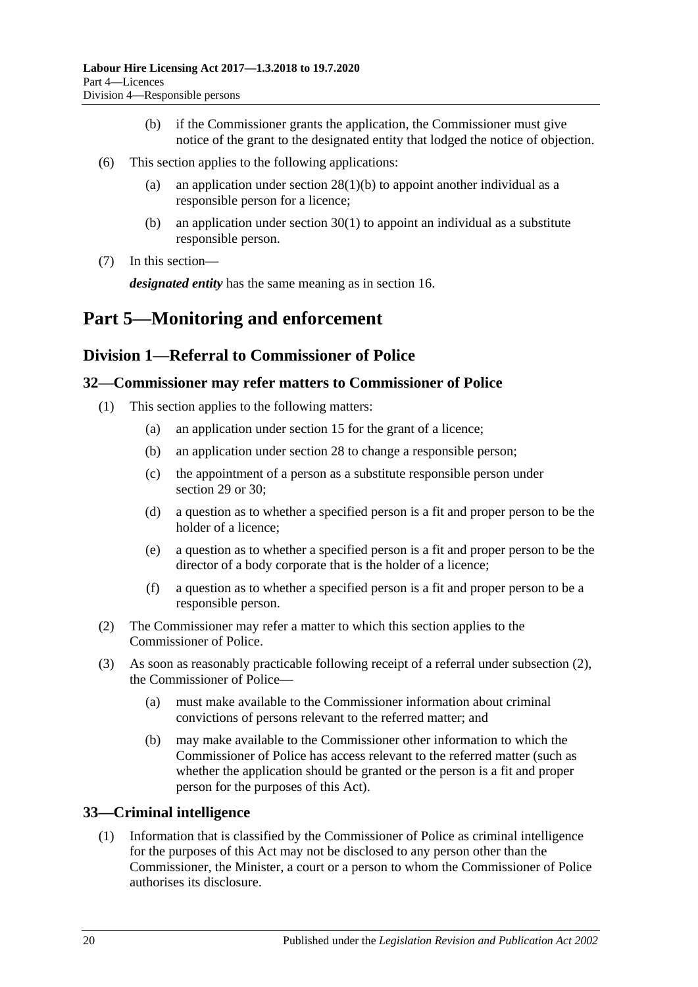- (b) if the Commissioner grants the application, the Commissioner must give notice of the grant to the designated entity that lodged the notice of objection.
- (6) This section applies to the following applications:
	- (a) an application under section  $28(1)(b)$  to appoint another individual as a responsible person for a licence;
	- (b) an application under [section](#page-18-2) 30(1) to appoint an individual as a substitute responsible person.
- (7) In this section—

*designated entity* has the same meaning as in [section](#page-10-0) 16.

# <span id="page-19-0"></span>**Part 5—Monitoring and enforcement**

# <span id="page-19-1"></span>**Division 1—Referral to Commissioner of Police**

## <span id="page-19-2"></span>**32—Commissioner may refer matters to Commissioner of Police**

- (1) This section applies to the following matters:
	- (a) an application under [section](#page-9-4) 15 for the grant of a licence;
	- (b) an application under [section](#page-16-5) 28 to change a responsible person;
	- (c) the appointment of a person as a substitute responsible person under [section](#page-17-0) 29 or [30;](#page-18-0)
	- (d) a question as to whether a specified person is a fit and proper person to be the holder of a licence;
	- (e) a question as to whether a specified person is a fit and proper person to be the director of a body corporate that is the holder of a licence;
	- (f) a question as to whether a specified person is a fit and proper person to be a responsible person.
- <span id="page-19-4"></span>(2) The Commissioner may refer a matter to which this section applies to the Commissioner of Police.
- (3) As soon as reasonably practicable following receipt of a referral under [subsection](#page-19-4) (2), the Commissioner of Police—
	- (a) must make available to the Commissioner information about criminal convictions of persons relevant to the referred matter; and
	- (b) may make available to the Commissioner other information to which the Commissioner of Police has access relevant to the referred matter (such as whether the application should be granted or the person is a fit and proper person for the purposes of this Act).

# <span id="page-19-3"></span>**33—Criminal intelligence**

(1) Information that is classified by the Commissioner of Police as criminal intelligence for the purposes of this Act may not be disclosed to any person other than the Commissioner, the Minister, a court or a person to whom the Commissioner of Police authorises its disclosure.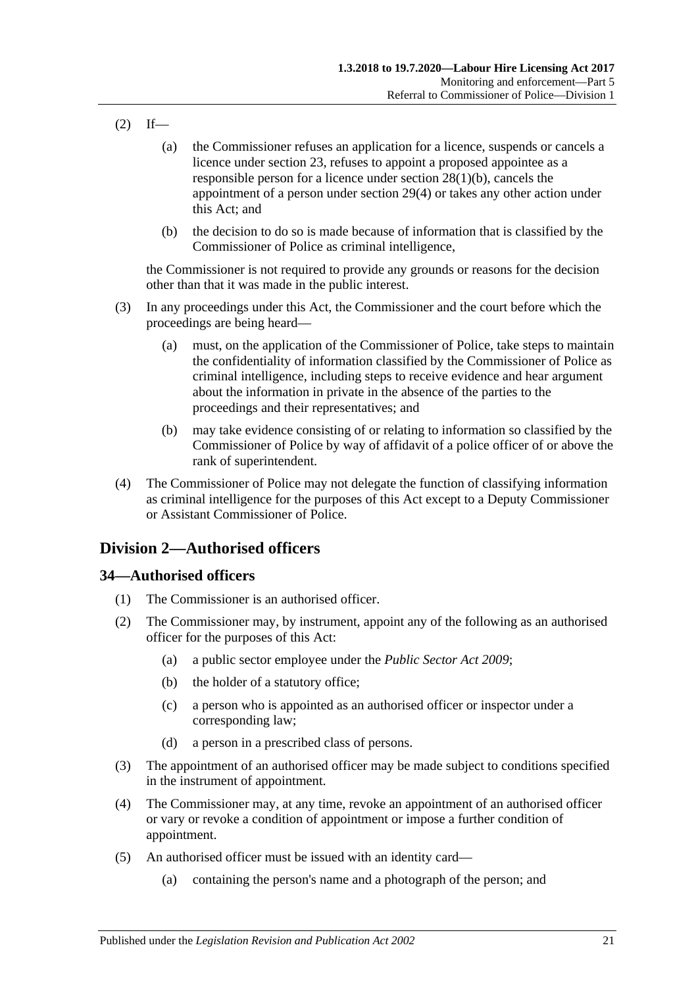- $(2)$  If—
	- (a) the Commissioner refuses an application for a licence, suspends or cancels a licence under [section](#page-15-1) 23, refuses to appoint a proposed appointee as a responsible person for a licence under section [28\(1\)\(b\),](#page-16-10) cancels the appointment of a person under [section](#page-17-4) 29(4) or takes any other action under this Act; and
	- (b) the decision to do so is made because of information that is classified by the Commissioner of Police as criminal intelligence,

the Commissioner is not required to provide any grounds or reasons for the decision other than that it was made in the public interest.

- (3) In any proceedings under this Act, the Commissioner and the court before which the proceedings are being heard—
	- (a) must, on the application of the Commissioner of Police, take steps to maintain the confidentiality of information classified by the Commissioner of Police as criminal intelligence, including steps to receive evidence and hear argument about the information in private in the absence of the parties to the proceedings and their representatives; and
	- (b) may take evidence consisting of or relating to information so classified by the Commissioner of Police by way of affidavit of a police officer of or above the rank of superintendent.
- (4) The Commissioner of Police may not delegate the function of classifying information as criminal intelligence for the purposes of this Act except to a Deputy Commissioner or Assistant Commissioner of Police.

# <span id="page-20-0"></span>**Division 2—Authorised officers**

#### <span id="page-20-1"></span>**34—Authorised officers**

- (1) The Commissioner is an authorised officer.
- (2) The Commissioner may, by instrument, appoint any of the following as an authorised officer for the purposes of this Act:
	- (a) a public sector employee under the *[Public Sector Act](http://www.legislation.sa.gov.au/index.aspx?action=legref&type=act&legtitle=Public%20Sector%20Act%202009) 2009*;
	- (b) the holder of a statutory office;
	- (c) a person who is appointed as an authorised officer or inspector under a corresponding law;
	- (d) a person in a prescribed class of persons.
- (3) The appointment of an authorised officer may be made subject to conditions specified in the instrument of appointment.
- (4) The Commissioner may, at any time, revoke an appointment of an authorised officer or vary or revoke a condition of appointment or impose a further condition of appointment.
- (5) An authorised officer must be issued with an identity card—
	- (a) containing the person's name and a photograph of the person; and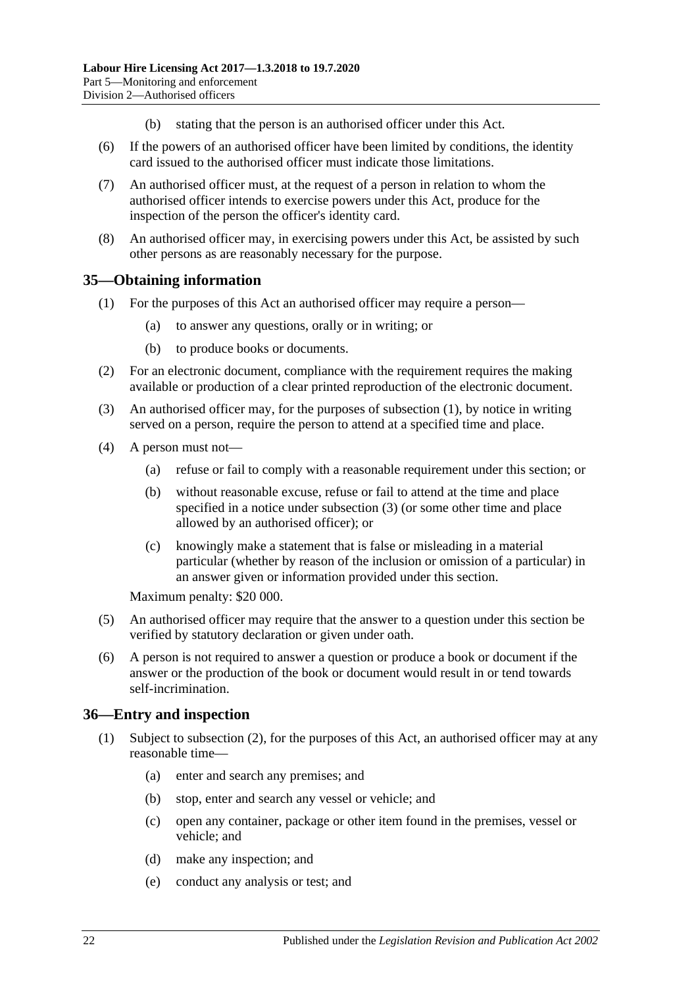- (b) stating that the person is an authorised officer under this Act.
- (6) If the powers of an authorised officer have been limited by conditions, the identity card issued to the authorised officer must indicate those limitations.
- (7) An authorised officer must, at the request of a person in relation to whom the authorised officer intends to exercise powers under this Act, produce for the inspection of the person the officer's identity card.
- (8) An authorised officer may, in exercising powers under this Act, be assisted by such other persons as are reasonably necessary for the purpose.

## <span id="page-21-2"></span><span id="page-21-0"></span>**35—Obtaining information**

- (1) For the purposes of this Act an authorised officer may require a person—
	- (a) to answer any questions, orally or in writing; or
	- (b) to produce books or documents.
- (2) For an electronic document, compliance with the requirement requires the making available or production of a clear printed reproduction of the electronic document.
- <span id="page-21-3"></span>(3) An authorised officer may, for the purposes of [subsection](#page-21-2) (1), by notice in writing served on a person, require the person to attend at a specified time and place.
- (4) A person must not—
	- (a) refuse or fail to comply with a reasonable requirement under this section; or
	- (b) without reasonable excuse, refuse or fail to attend at the time and place specified in a notice under [subsection](#page-21-3) (3) (or some other time and place allowed by an authorised officer); or
	- (c) knowingly make a statement that is false or misleading in a material particular (whether by reason of the inclusion or omission of a particular) in an answer given or information provided under this section.

Maximum penalty: \$20 000.

- (5) An authorised officer may require that the answer to a question under this section be verified by statutory declaration or given under oath.
- (6) A person is not required to answer a question or produce a book or document if the answer or the production of the book or document would result in or tend towards self-incrimination.

#### <span id="page-21-5"></span><span id="page-21-1"></span>**36—Entry and inspection**

- <span id="page-21-4"></span>(1) Subject to [subsection](#page-22-1) (2), for the purposes of this Act, an authorised officer may at any reasonable time—
	- (a) enter and search any premises; and
	- (b) stop, enter and search any vessel or vehicle; and
	- (c) open any container, package or other item found in the premises, vessel or vehicle; and
	- (d) make any inspection; and
	- (e) conduct any analysis or test; and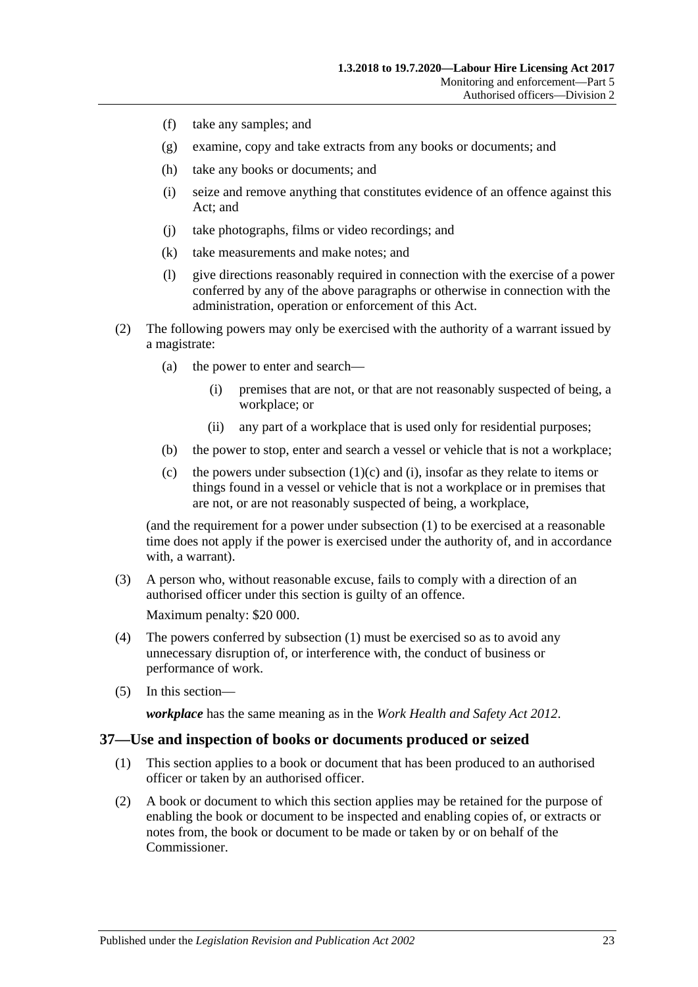- (f) take any samples; and
- (g) examine, copy and take extracts from any books or documents; and
- (h) take any books or documents; and
- <span id="page-22-2"></span>(i) seize and remove anything that constitutes evidence of an offence against this Act; and
- (j) take photographs, films or video recordings; and
- (k) take measurements and make notes; and
- (l) give directions reasonably required in connection with the exercise of a power conferred by any of the above paragraphs or otherwise in connection with the administration, operation or enforcement of this Act.
- <span id="page-22-1"></span>(2) The following powers may only be exercised with the authority of a warrant issued by a magistrate:
	- (a) the power to enter and search—
		- (i) premises that are not, or that are not reasonably suspected of being, a workplace; or
		- (ii) any part of a workplace that is used only for residential purposes;
	- (b) the power to stop, enter and search a vessel or vehicle that is not a workplace;
	- (c) the powers under [subsection](#page-21-4)  $(1)(c)$  and  $(i)$ , insofar as they relate to items or things found in a vessel or vehicle that is not a workplace or in premises that are not, or are not reasonably suspected of being, a workplace,

(and the requirement for a power under [subsection](#page-21-5) (1) to be exercised at a reasonable time does not apply if the power is exercised under the authority of, and in accordance with, a warrant).

(3) A person who, without reasonable excuse, fails to comply with a direction of an authorised officer under this section is guilty of an offence.

Maximum penalty: \$20 000.

- (4) The powers conferred by [subsection](#page-21-5) (1) must be exercised so as to avoid any unnecessary disruption of, or interference with, the conduct of business or performance of work.
- (5) In this section—

*workplace* has the same meaning as in the *[Work Health and Safety Act](http://www.legislation.sa.gov.au/index.aspx?action=legref&type=act&legtitle=Work%20Health%20and%20Safety%20Act%202012) 2012*.

#### <span id="page-22-0"></span>**37—Use and inspection of books or documents produced or seized**

- (1) This section applies to a book or document that has been produced to an authorised officer or taken by an authorised officer.
- (2) A book or document to which this section applies may be retained for the purpose of enabling the book or document to be inspected and enabling copies of, or extracts or notes from, the book or document to be made or taken by or on behalf of the Commissioner.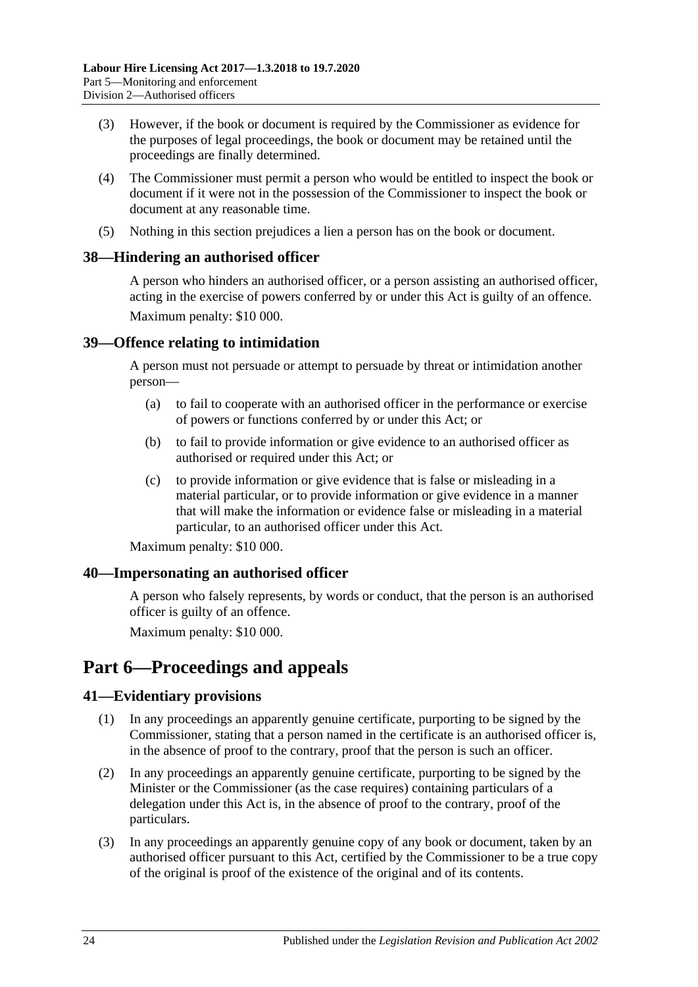- (3) However, if the book or document is required by the Commissioner as evidence for the purposes of legal proceedings, the book or document may be retained until the proceedings are finally determined.
- (4) The Commissioner must permit a person who would be entitled to inspect the book or document if it were not in the possession of the Commissioner to inspect the book or document at any reasonable time.
- (5) Nothing in this section prejudices a lien a person has on the book or document.

## <span id="page-23-0"></span>**38—Hindering an authorised officer**

A person who hinders an authorised officer, or a person assisting an authorised officer, acting in the exercise of powers conferred by or under this Act is guilty of an offence. Maximum penalty: \$10 000.

## <span id="page-23-1"></span>**39—Offence relating to intimidation**

A person must not persuade or attempt to persuade by threat or intimidation another person—

- (a) to fail to cooperate with an authorised officer in the performance or exercise of powers or functions conferred by or under this Act; or
- (b) to fail to provide information or give evidence to an authorised officer as authorised or required under this Act; or
- (c) to provide information or give evidence that is false or misleading in a material particular, or to provide information or give evidence in a manner that will make the information or evidence false or misleading in a material particular, to an authorised officer under this Act.

Maximum penalty: \$10 000.

## <span id="page-23-2"></span>**40—Impersonating an authorised officer**

A person who falsely represents, by words or conduct, that the person is an authorised officer is guilty of an offence.

Maximum penalty: \$10 000.

# <span id="page-23-3"></span>**Part 6—Proceedings and appeals**

# <span id="page-23-4"></span>**41—Evidentiary provisions**

- (1) In any proceedings an apparently genuine certificate, purporting to be signed by the Commissioner, stating that a person named in the certificate is an authorised officer is, in the absence of proof to the contrary, proof that the person is such an officer.
- (2) In any proceedings an apparently genuine certificate, purporting to be signed by the Minister or the Commissioner (as the case requires) containing particulars of a delegation under this Act is, in the absence of proof to the contrary, proof of the particulars.
- (3) In any proceedings an apparently genuine copy of any book or document, taken by an authorised officer pursuant to this Act, certified by the Commissioner to be a true copy of the original is proof of the existence of the original and of its contents.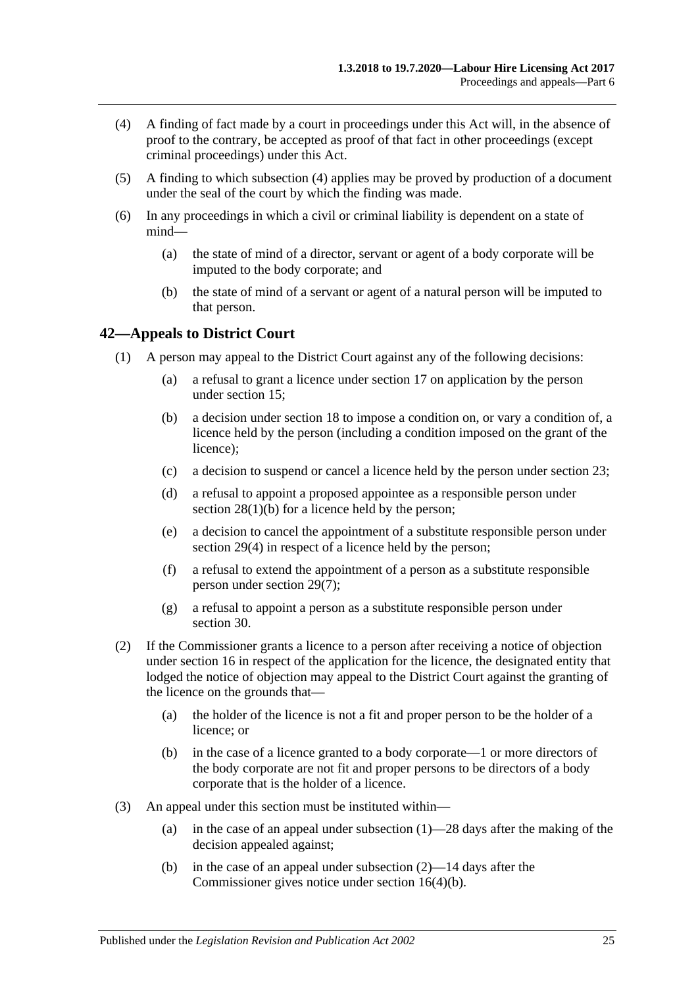- <span id="page-24-1"></span>(4) A finding of fact made by a court in proceedings under this Act will, in the absence of proof to the contrary, be accepted as proof of that fact in other proceedings (except criminal proceedings) under this Act.
- (5) A finding to which [subsection](#page-24-1) (4) applies may be proved by production of a document under the seal of the court by which the finding was made.
- (6) In any proceedings in which a civil or criminal liability is dependent on a state of mind—
	- (a) the state of mind of a director, servant or agent of a body corporate will be imputed to the body corporate; and
	- (b) the state of mind of a servant or agent of a natural person will be imputed to that person.

## <span id="page-24-2"></span><span id="page-24-0"></span>**42—Appeals to District Court**

- (1) A person may appeal to the District Court against any of the following decisions:
	- (a) a refusal to grant a licence under [section](#page-11-0) 17 on application by the person under [section](#page-9-4) 15;
	- (b) a decision under [section](#page-12-0) 18 to impose a condition on, or vary a condition of, a licence held by the person (including a condition imposed on the grant of the licence);
	- (c) a decision to suspend or cancel a licence held by the person under [section](#page-15-1) 23;
	- (d) a refusal to appoint a proposed appointee as a responsible person under section [28\(1\)\(b\)](#page-16-10) for a licence held by the person;
	- (e) a decision to cancel the appointment of a substitute responsible person under [section](#page-17-4) 29(4) in respect of a licence held by the person;
	- (f) a refusal to extend the appointment of a person as a substitute responsible person under [section](#page-17-5) 29(7);
	- (g) a refusal to appoint a person as a substitute responsible person under [section](#page-18-0) 30.
- <span id="page-24-3"></span>(2) If the Commissioner grants a licence to a person after receiving a notice of objection under [section](#page-10-0) 16 in respect of the application for the licence, the designated entity that lodged the notice of objection may appeal to the District Court against the granting of the licence on the grounds that—
	- (a) the holder of the licence is not a fit and proper person to be the holder of a licence; or
	- (b) in the case of a licence granted to a body corporate—1 or more directors of the body corporate are not fit and proper persons to be directors of a body corporate that is the holder of a licence.
- (3) An appeal under this section must be instituted within
	- (a) in the case of an appeal under [subsection](#page-24-2)  $(1)$ —28 days after the making of the decision appealed against;
	- (b) in the case of an appeal under [subsection](#page-24-3) (2)—14 days after the Commissioner gives notice under section [16\(4\)\(b\).](#page-11-3)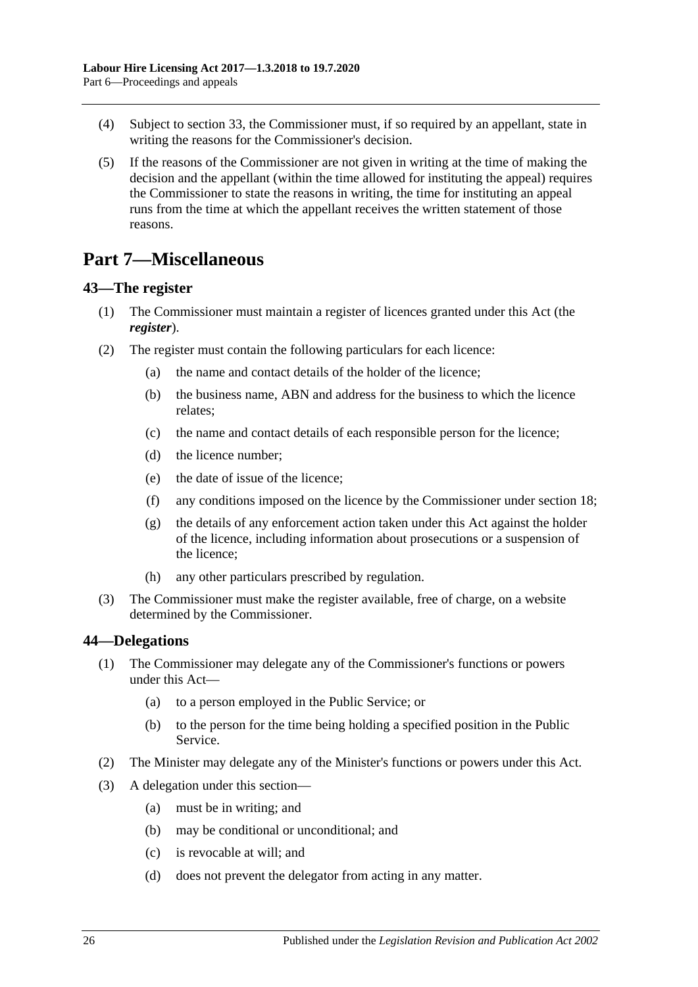- (4) Subject to [section](#page-19-3) 33, the Commissioner must, if so required by an appellant, state in writing the reasons for the Commissioner's decision.
- (5) If the reasons of the Commissioner are not given in writing at the time of making the decision and the appellant (within the time allowed for instituting the appeal) requires the Commissioner to state the reasons in writing, the time for instituting an appeal runs from the time at which the appellant receives the written statement of those reasons.

# <span id="page-25-0"></span>**Part 7—Miscellaneous**

## <span id="page-25-3"></span><span id="page-25-1"></span>**43—The register**

- (1) The Commissioner must maintain a register of licences granted under this Act (the *register*).
- (2) The register must contain the following particulars for each licence:
	- (a) the name and contact details of the holder of the licence;
	- (b) the business name, ABN and address for the business to which the licence relates;
	- (c) the name and contact details of each responsible person for the licence;
	- (d) the licence number;
	- (e) the date of issue of the licence;
	- (f) any conditions imposed on the licence by the Commissioner under [section](#page-12-0) 18;
	- (g) the details of any enforcement action taken under this Act against the holder of the licence, including information about prosecutions or a suspension of the licence;
	- (h) any other particulars prescribed by regulation.
- (3) The Commissioner must make the register available, free of charge, on a website determined by the Commissioner.

## <span id="page-25-2"></span>**44—Delegations**

- (1) The Commissioner may delegate any of the Commissioner's functions or powers under this Act—
	- (a) to a person employed in the Public Service; or
	- (b) to the person for the time being holding a specified position in the Public Service.
- (2) The Minister may delegate any of the Minister's functions or powers under this Act.
- (3) A delegation under this section—
	- (a) must be in writing; and
	- (b) may be conditional or unconditional; and
	- (c) is revocable at will; and
	- (d) does not prevent the delegator from acting in any matter.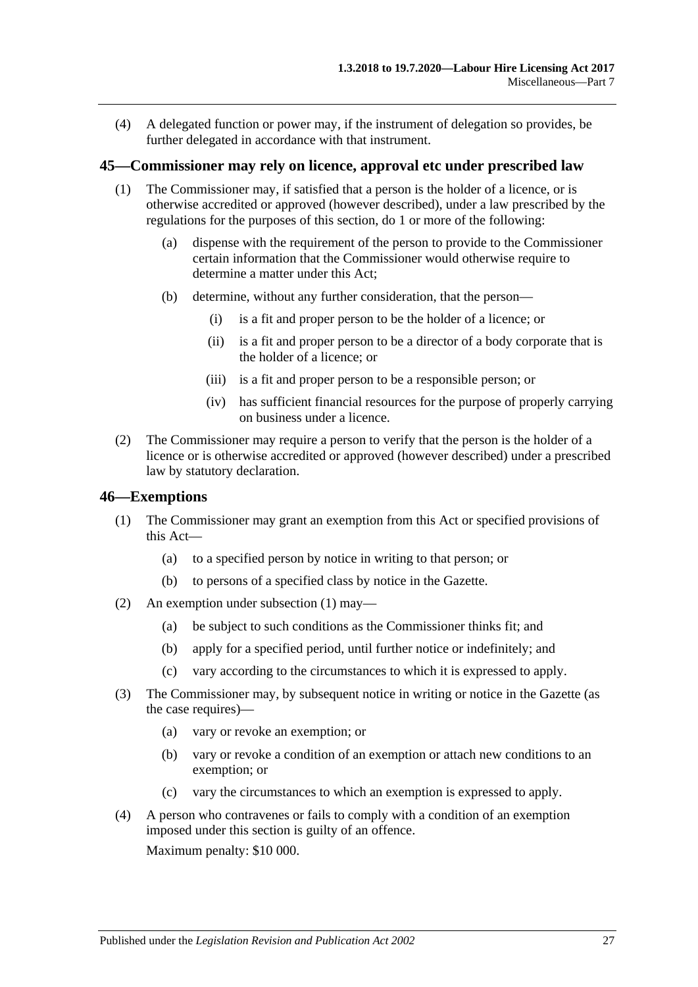(4) A delegated function or power may, if the instrument of delegation so provides, be further delegated in accordance with that instrument.

#### <span id="page-26-0"></span>**45—Commissioner may rely on licence, approval etc under prescribed law**

- (1) The Commissioner may, if satisfied that a person is the holder of a licence, or is otherwise accredited or approved (however described), under a law prescribed by the regulations for the purposes of this section, do 1 or more of the following:
	- (a) dispense with the requirement of the person to provide to the Commissioner certain information that the Commissioner would otherwise require to determine a matter under this Act;
	- (b) determine, without any further consideration, that the person—
		- (i) is a fit and proper person to be the holder of a licence; or
		- (ii) is a fit and proper person to be a director of a body corporate that is the holder of a licence; or
		- (iii) is a fit and proper person to be a responsible person; or
		- (iv) has sufficient financial resources for the purpose of properly carrying on business under a licence.
- (2) The Commissioner may require a person to verify that the person is the holder of a licence or is otherwise accredited or approved (however described) under a prescribed law by statutory declaration.

#### <span id="page-26-2"></span><span id="page-26-1"></span>**46—Exemptions**

- (1) The Commissioner may grant an exemption from this Act or specified provisions of this Act—
	- (a) to a specified person by notice in writing to that person; or
	- (b) to persons of a specified class by notice in the Gazette.
- (2) An exemption under [subsection](#page-26-2) (1) may—
	- (a) be subject to such conditions as the Commissioner thinks fit; and
	- (b) apply for a specified period, until further notice or indefinitely; and
	- (c) vary according to the circumstances to which it is expressed to apply.
- (3) The Commissioner may, by subsequent notice in writing or notice in the Gazette (as the case requires)—
	- (a) vary or revoke an exemption; or
	- (b) vary or revoke a condition of an exemption or attach new conditions to an exemption; or
	- (c) vary the circumstances to which an exemption is expressed to apply.
- (4) A person who contravenes or fails to comply with a condition of an exemption imposed under this section is guilty of an offence. Maximum penalty: \$10 000.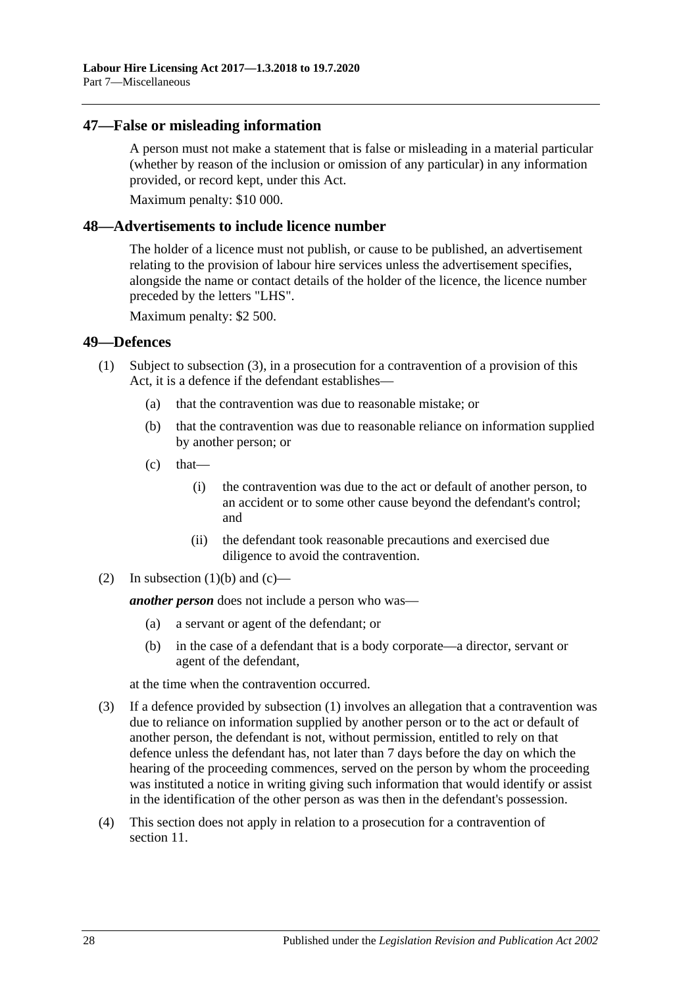#### <span id="page-27-0"></span>**47—False or misleading information**

A person must not make a statement that is false or misleading in a material particular (whether by reason of the inclusion or omission of any particular) in any information provided, or record kept, under this Act.

Maximum penalty: \$10 000.

#### <span id="page-27-1"></span>**48—Advertisements to include licence number**

The holder of a licence must not publish, or cause to be published, an advertisement relating to the provision of labour hire services unless the advertisement specifies, alongside the name or contact details of the holder of the licence, the licence number preceded by the letters "LHS".

Maximum penalty: \$2 500.

#### <span id="page-27-6"></span><span id="page-27-2"></span>**49—Defences**

- <span id="page-27-5"></span><span id="page-27-4"></span>(1) Subject to [subsection](#page-27-3) (3), in a prosecution for a contravention of a provision of this Act, it is a defence if the defendant establishes—
	- (a) that the contravention was due to reasonable mistake; or
	- (b) that the contravention was due to reasonable reliance on information supplied by another person; or
	- $(c)$  that—
		- (i) the contravention was due to the act or default of another person, to an accident or to some other cause beyond the defendant's control; and
		- (ii) the defendant took reasonable precautions and exercised due diligence to avoid the contravention.
- (2) In [subsection](#page-27-4)  $(1)(b)$  and  $(c)$ —

*another person* does not include a person who was—

- (a) a servant or agent of the defendant; or
- (b) in the case of a defendant that is a body corporate—a director, servant or agent of the defendant,

at the time when the contravention occurred.

- <span id="page-27-3"></span>(3) If a defence provided by [subsection](#page-27-6) (1) involves an allegation that a contravention was due to reliance on information supplied by another person or to the act or default of another person, the defendant is not, without permission, entitled to rely on that defence unless the defendant has, not later than 7 days before the day on which the hearing of the proceeding commences, served on the person by whom the proceeding was instituted a notice in writing giving such information that would identify or assist in the identification of the other person as was then in the defendant's possession.
- (4) This section does not apply in relation to a prosecution for a contravention of [section](#page-8-1) 11.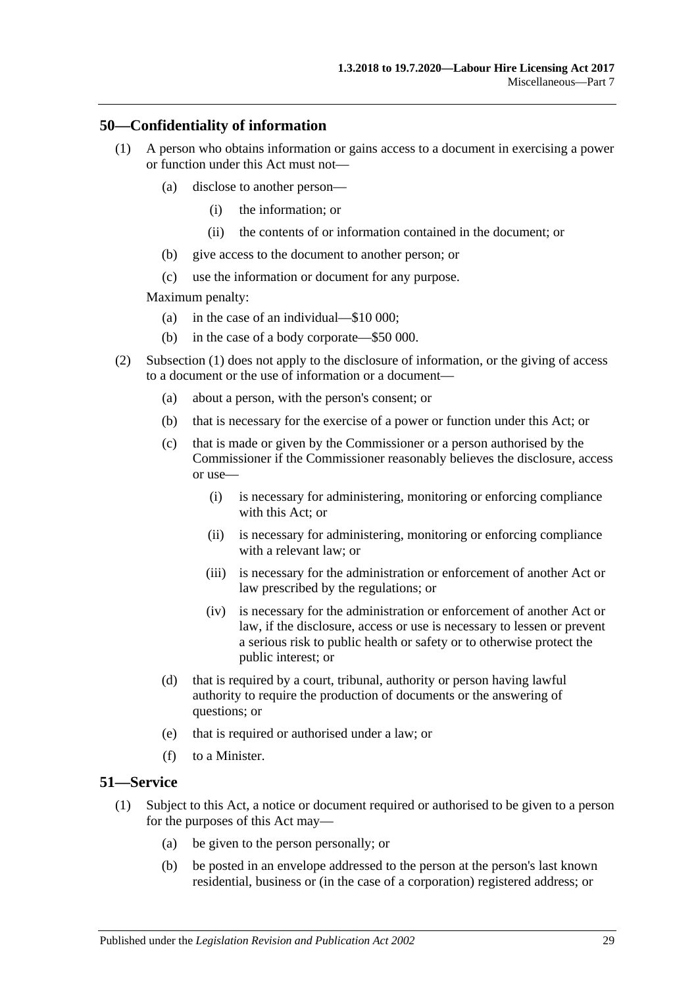## <span id="page-28-2"></span><span id="page-28-0"></span>**50—Confidentiality of information**

- (1) A person who obtains information or gains access to a document in exercising a power or function under this Act must not—
	- (a) disclose to another person—
		- (i) the information; or
		- (ii) the contents of or information contained in the document; or
	- (b) give access to the document to another person; or
	- (c) use the information or document for any purpose.

Maximum penalty:

- (a) in the case of an individual—\$10 000;
- (b) in the case of a body corporate—\$50 000.
- (2) [Subsection \(1\)](#page-28-2) does not apply to the disclosure of information, or the giving of access to a document or the use of information or a document—
	- (a) about a person, with the person's consent; or
	- (b) that is necessary for the exercise of a power or function under this Act; or
	- (c) that is made or given by the Commissioner or a person authorised by the Commissioner if the Commissioner reasonably believes the disclosure, access or use—
		- (i) is necessary for administering, monitoring or enforcing compliance with this Act; or
		- (ii) is necessary for administering, monitoring or enforcing compliance with a relevant law; or
		- (iii) is necessary for the administration or enforcement of another Act or law prescribed by the regulations; or
		- (iv) is necessary for the administration or enforcement of another Act or law, if the disclosure, access or use is necessary to lessen or prevent a serious risk to public health or safety or to otherwise protect the public interest; or
	- (d) that is required by a court, tribunal, authority or person having lawful authority to require the production of documents or the answering of questions; or
	- (e) that is required or authorised under a law; or
	- (f) to a Minister.

#### <span id="page-28-3"></span><span id="page-28-1"></span>**51—Service**

- (1) Subject to this Act, a notice or document required or authorised to be given to a person for the purposes of this Act may—
	- (a) be given to the person personally; or
	- (b) be posted in an envelope addressed to the person at the person's last known residential, business or (in the case of a corporation) registered address; or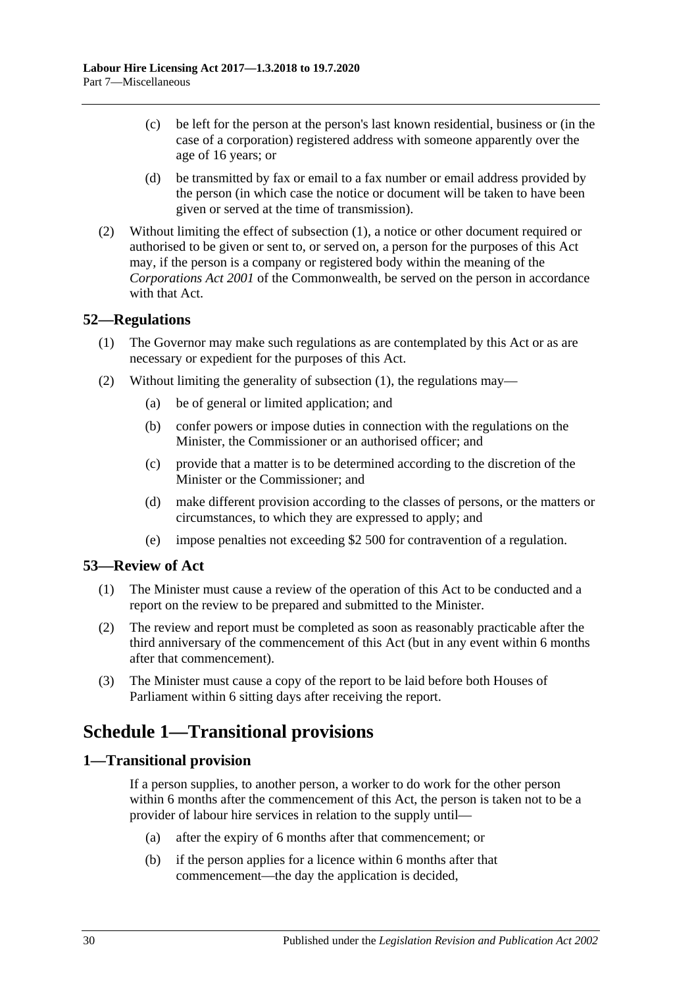- (c) be left for the person at the person's last known residential, business or (in the case of a corporation) registered address with someone apparently over the age of 16 years; or
- (d) be transmitted by fax or email to a fax number or email address provided by the person (in which case the notice or document will be taken to have been given or served at the time of transmission).
- (2) Without limiting the effect of [subsection](#page-28-3) (1), a notice or other document required or authorised to be given or sent to, or served on, a person for the purposes of this Act may, if the person is a company or registered body within the meaning of the *Corporations Act 2001* of the Commonwealth, be served on the person in accordance with that Act.

## <span id="page-29-4"></span><span id="page-29-0"></span>**52—Regulations**

- (1) The Governor may make such regulations as are contemplated by this Act or as are necessary or expedient for the purposes of this Act.
- (2) Without limiting the generality of [subsection](#page-29-4) (1), the regulations may—
	- (a) be of general or limited application; and
	- (b) confer powers or impose duties in connection with the regulations on the Minister, the Commissioner or an authorised officer; and
	- (c) provide that a matter is to be determined according to the discretion of the Minister or the Commissioner; and
	- (d) make different provision according to the classes of persons, or the matters or circumstances, to which they are expressed to apply; and
	- (e) impose penalties not exceeding \$2 500 for contravention of a regulation.

## <span id="page-29-1"></span>**53—Review of Act**

- (1) The Minister must cause a review of the operation of this Act to be conducted and a report on the review to be prepared and submitted to the Minister.
- (2) The review and report must be completed as soon as reasonably practicable after the third anniversary of the commencement of this Act (but in any event within 6 months after that commencement).
- (3) The Minister must cause a copy of the report to be laid before both Houses of Parliament within 6 sitting days after receiving the report.

# <span id="page-29-2"></span>**Schedule 1—Transitional provisions**

## <span id="page-29-3"></span>**1—Transitional provision**

If a person supplies, to another person, a worker to do work for the other person within 6 months after the commencement of this Act, the person is taken not to be a provider of labour hire services in relation to the supply until—

- (a) after the expiry of 6 months after that commencement; or
- (b) if the person applies for a licence within 6 months after that commencement—the day the application is decided,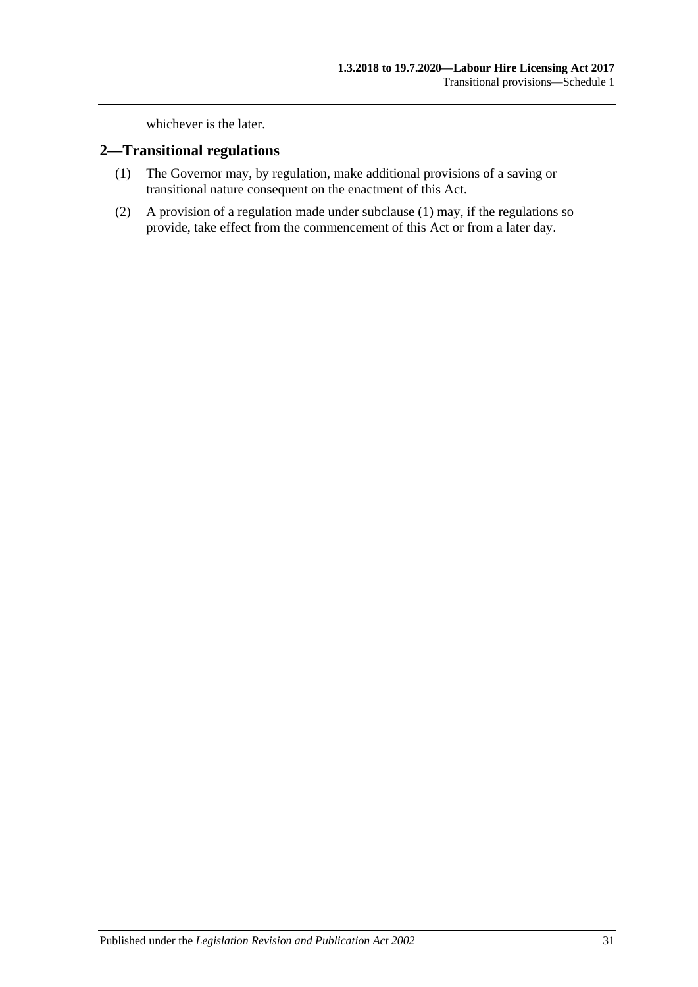whichever is the later.

#### <span id="page-30-1"></span><span id="page-30-0"></span>**2—Transitional regulations**

- (1) The Governor may, by regulation, make additional provisions of a saving or transitional nature consequent on the enactment of this Act.
- (2) A provision of a regulation made under [subclause](#page-30-1) (1) may, if the regulations so provide, take effect from the commencement of this Act or from a later day.